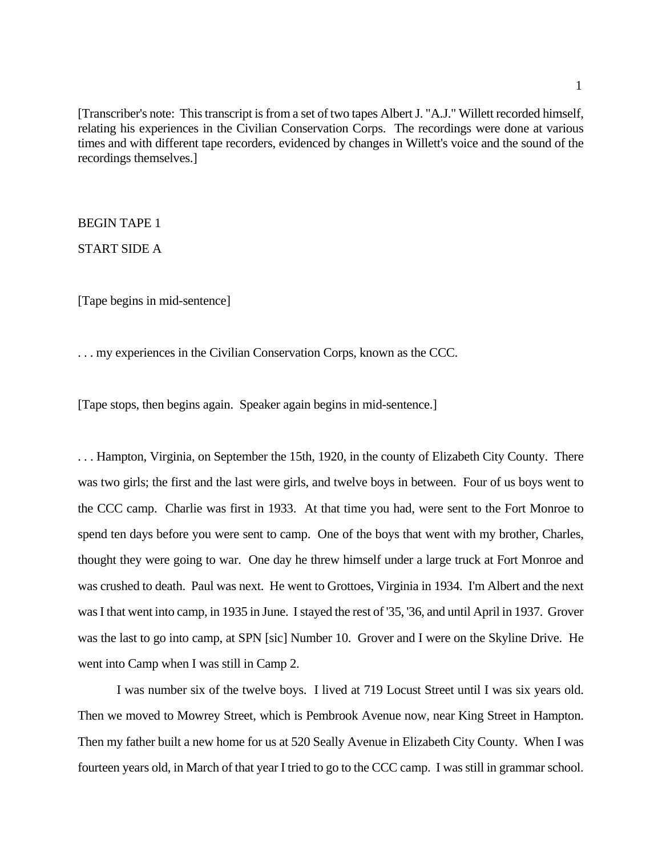[Transcriber's note: This transcript is from a set of two tapes Albert J. "A.J." Willett recorded himself, relating his experiences in the Civilian Conservation Corps. The recordings were done at various times and with different tape recorders, evidenced by changes in Willett's voice and the sound of the recordings themselves.]<br>BEGIN TAPE 1

START SIDE A

[Tape begins in mid-sentence]

. . . my experiences in the Civilian Conservation Corps, known as the CCC.

[Tape stops, then begins again. Speaker again begins in mid-sentence.]

 . . . Hampton, Virginia, on September the 15th, 1920, in the county of Elizabeth City County. There was two girls; the first and the last were girls, and twelve boys in between. Four of us boys went to the CCC camp. Charlie was first in 1933. At that time you had, were sent to the Fort Monroe to spend ten days before you were sent to camp. One of the boys that went with my brother, Charles, thought they were going to war. One day he threw himself under a large truck at Fort Monroe and was crushed to death. Paul was next. He went to Grottoes, Virginia in 1934. I'm Albert and the next was I that went into camp, in 1935 in June. I stayed the rest of '35, '36, and until April in 1937. Grover was the last to go into camp, at SPN [sic] Number 10. Grover and I were on the Skyline Drive. He went into Camp when I was still in Camp 2.

 I was number six of the twelve boys. I lived at 719 Locust Street until I was six years old. Then we moved to Mowrey Street, which is Pembrook Avenue now, near King Street in Hampton. Then my father built a new home for us at 520 Seally Avenue in Elizabeth City County. When I was fourteen years old, in March of that year I tried to go to the CCC camp. I was still in grammar school.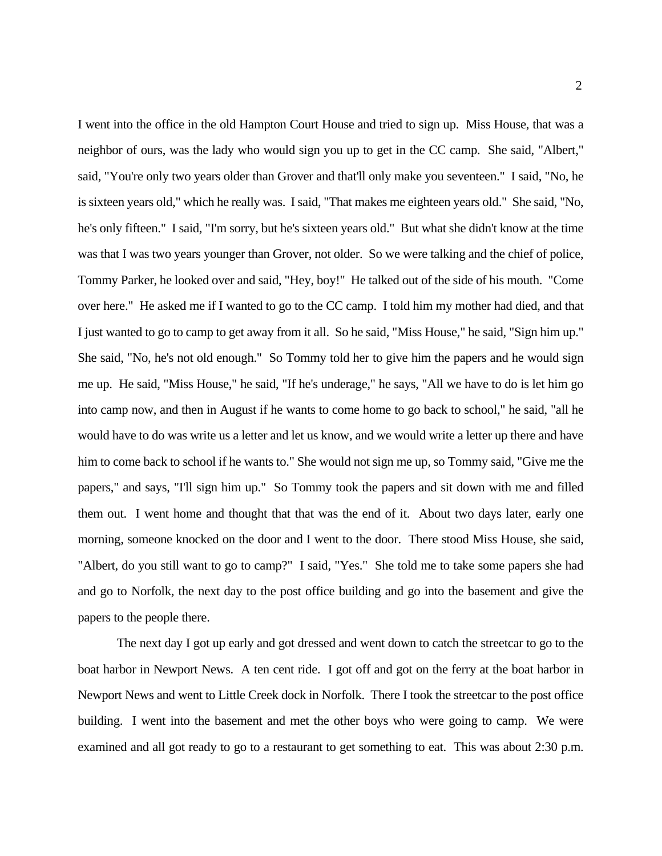I went into the office in the old Hampton Court House and tried to sign up. Miss House, that was a neighbor of ours, was the lady who would sign you up to get in the CC camp. She said, "Albert," said, "You're only two years older than Grover and that'll only make you seventeen." I said, "No, he is sixteen years old," which he really was. I said, "That makes me eighteen years old." She said, "No, he's only fifteen." I said, "I'm sorry, but he's sixteen years old." But what she didn't know at the time was that I was two years younger than Grover, not older. So we were talking and the chief of police, Tommy Parker, he looked over and said, "Hey, boy!" He talked out of the side of his mouth. "Come over here." He asked me if I wanted to go to the CC camp. I told him my mother had died, and that I just wanted to go to camp to get away from it all. So he said, "Miss House," he said, "Sign him up." I just wanted to go to camp to get away from it all. So he said, "Miss House," he said, "Sign him up."<br>She said, "No, he's not old enough." So Tommy told her to give him the papers and he would sign me up. He said, "Miss House," he said, "If he's underage," he says, "All we have to do is let him go into camp now, and then in August if he wants to come home to go back to school," he said, "all he would have to do was write us a letter and let us know, and we would write a letter up there and have him to come back to school if he wants to." She would not sign me up, so Tommy said, "Give me the papers," and says, "I'll sign him up." So Tommy took the papers and sit down with me and filled them out. I went home and thought that that was the end of it. About two days later, early one morning, someone knocked on the door and I went to the door. There stood Miss House, she said, "Albert, do you still want to go to camp?" I said, "Yes." She told me to take some papers she had and go to Norfolk, the next day to the post office building and go into the basement and give the papers to the people there.

 The next day I got up early and got dressed and went down to catch the streetcar to go to the boat harbor in Newport News. A ten cent ride. I got off and got on the ferry at the boat harbor in Newport News and went to Little Creek dock in Norfolk. There I took the streetcar to the post office building. I went into the basement and met the other boys who were going to camp. We were examined and all got ready to go to a restaurant to get something to eat. This was about 2:30 p.m.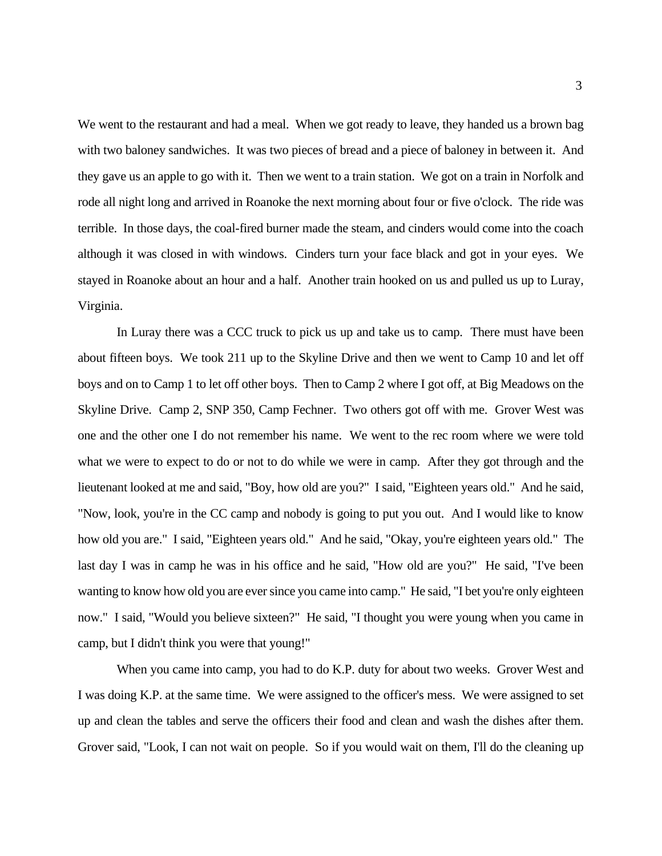We went to the restaurant and had a meal. When we got ready to leave, they handed us a brown bag with two baloney sandwiches. It was two pieces of bread and a piece of baloney in between it. And they gave us an apple to go with it. Then we went to a train station. We got on a train in Norfolk and rode all night long and arrived in Roanoke the next morning about four or five o'clock. The ride was although it was closed in with windows. Cinders turn your face black and got in your eyes. We stayed in Roanoke about an hour and a half. Another train hooked on us and pulled us up to Luray, terrible. In those days, the coal-fired burner made the steam, and cinders would come into the coach Virginia.

 In Luray there was a CCC truck to pick us up and take us to camp. There must have been about fifteen boys. We took 211 up to the Skyline Drive and then we went to Camp 10 and let off boys and on to Camp 1 to let off other boys. Then to Camp 2 where I got off, at Big Meadows on the Skyline Drive. Camp 2, SNP 350, Camp Fechner. Two others got off with me. Grover West was one and the other one I do not remember his name. We went to the rec room where we were told what we were to expect to do or not to do while we were in camp. After they got through and the lieutenant looked at me and said, "Boy, how old are you?" I said, "Eighteen years old." And he said, "Now, look, you're in the CC camp and nobody is going to put you out. And I would like to know how old you are." I said, "Eighteen years old." And he said, "Okay, you're eighteen years old." The last day I was in camp he was in his office and he said, "How old are you?" He said, "I've been wanting to know how old you are ever since you came into camp." He said, "I bet you're only eighteen now." I said, "Would you believe sixteen?" He said, "I thought you were young when you came in camp, but I didn't think you were that young!"

 When you came into camp, you had to do K.P. duty for about two weeks. Grover West and I was doing K.P. at the same time. We were assigned to the officer's mess. We were assigned to set up and clean the tables and serve the officers their food and clean and wash the dishes after them. Grover said, "Look, I can not wait on people. So if you would wait on them, I'll do the cleaning up Grover said, "Look, I can not wait on people. So if you would wait on them, I'll do the cleaning up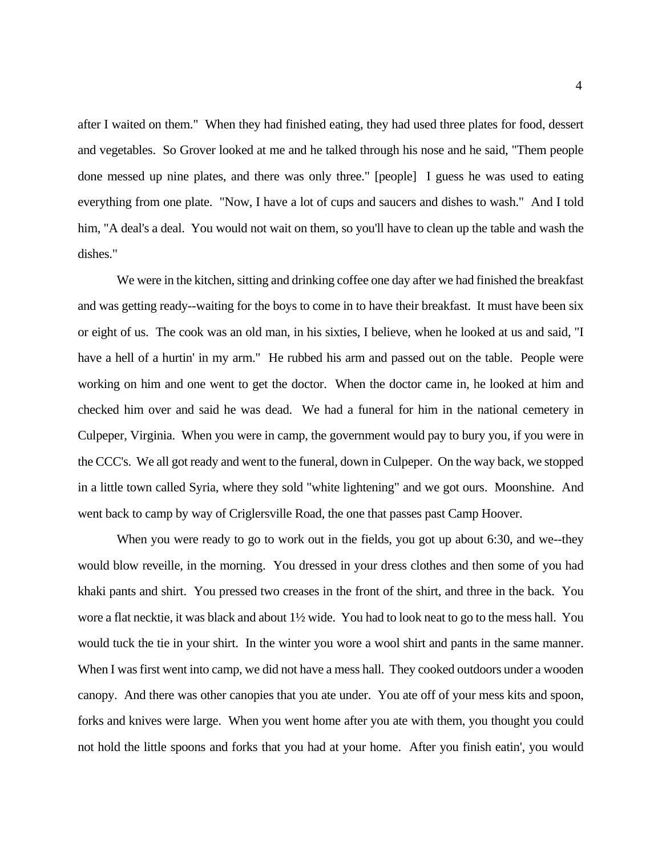after I waited on them." When they had finished eating, they had used three plates for food, dessert and vegetables. So Grover looked at me and he talked through his nose and he said, "Them people done messed up nine plates, and there was only three." [people] I guess he was used to eating everything from one plate. "Now, I have a lot of cups and saucers and dishes to wash." And I told him, "A deal's a deal. You would not wait on them, so you'll have to clean up the table and wash the dishes."

 We were in the kitchen, sitting and drinking coffee one day after we had finished the breakfast and was getting ready--waiting for the boys to come in to have their breakfast. It must have been six or eight of us. The cook was an old man, in his sixties, I believe, when he looked at us and said, "I have a hell of a hurtin' in my arm." He rubbed his arm and passed out on the table. People were working on him and one went to get the doctor. When the doctor came in, he looked at him and checked him over and said he was dead. We had a funeral for him in the national cemetery in Culpeper, Virginia. When you were in camp, the government would pay to bury you, if you were in the CCC's. We all got ready and went to the funeral, down in Culpeper. On the way back, we stopped went back to camp by way of Criglersville Road, the one that passes past Camp Hoover. in a little town called Syria, where they sold "white lightening" and we got ours. Moonshine. And

 When you were ready to go to work out in the fields, you got up about 6:30, and we--they khaki pants and shirt. You pressed two creases in the front of the shirt, and three in the back. You wore a flat necktie, it was black and about 1½ wide. You had to look neat to go to the mess hall. You would tuck the tie in your shirt. In the winter you wore a wool shirt and pants in the same manner. When I was first went into camp, we did not have a mess hall. They cooked outdoors under a wooden canopy. And there was other canopies that you ate under. You ate off of your mess kits and spoon, forks and knives were large. When you went home after you ate with them, you thought you could not hold the little spoons and forks that you had at your home. After you finish eatin', you would would blow reveille, in the morning. You dressed in your dress clothes and then some of you had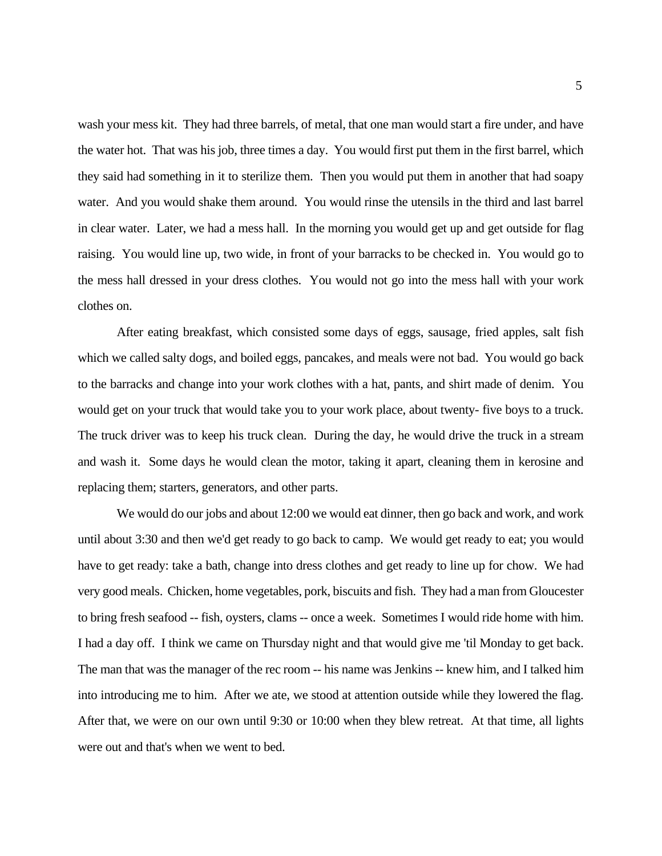wash your mess kit. They had three barrels, of metal, that one man would start a fire under, and have the water hot. That was his job, three times a day. You would first put them in the first barrel, which water. And you would shake them around. You would rinse the utensils in the third and last barrel raising. You would line up, two wide, in front of your barracks to be checked in. You would go to the mess hall dressed in your dress clothes. You would not go into the mess hall with your work they said had something in it to sterilize them. Then you would put them in another that had soapy in clear water. Later, we had a mess hall. In the morning you would get up and get outside for flag clothes on.

 After eating breakfast, which consisted some days of eggs, sausage, fried apples, salt fish which we called salty dogs, and boiled eggs, pancakes, and meals were not bad. You would go back to the barracks and change into your work clothes with a hat, pants, and shirt made of denim. You would get on your truck that would take you to your work place, about twenty- five boys to a truck. would get on your truck that would take you to your work place, about twenty- five boys to a truck. The truck driver was to keep his truck clean. During the day, he would drive the truck in a stream replacing them; starters, generators, and other parts. and wash it. Some days he would clean the motor, taking it apart, cleaning them in kerosine and

 We would do our jobs and about 12:00 we would eat dinner, then go back and work, and work until about 3:30 and then we'd get ready to go back to camp. We would get ready to eat; you would to bring fresh seafood -- fish, oysters, clams -- once a week. Sometimes I would ride home with him. I had a day off. I think we came on Thursday night and that would give me 'til Monday to get back. The man that was the manager of the rec room -- his name was Jenkins -- knew him, and I talked him into introducing me to him. After we ate, we stood at attention outside while they lowered the flag. After that, we were on our own until 9:30 or 10:00 when they blew retreat. At that time, all lights were out and that's when we went to bed. have to get ready: take a bath, change into dress clothes and get ready to line up for chow. We had very good meals. Chicken, home vegetables, pork, biscuits and fish. They had a man from Gloucester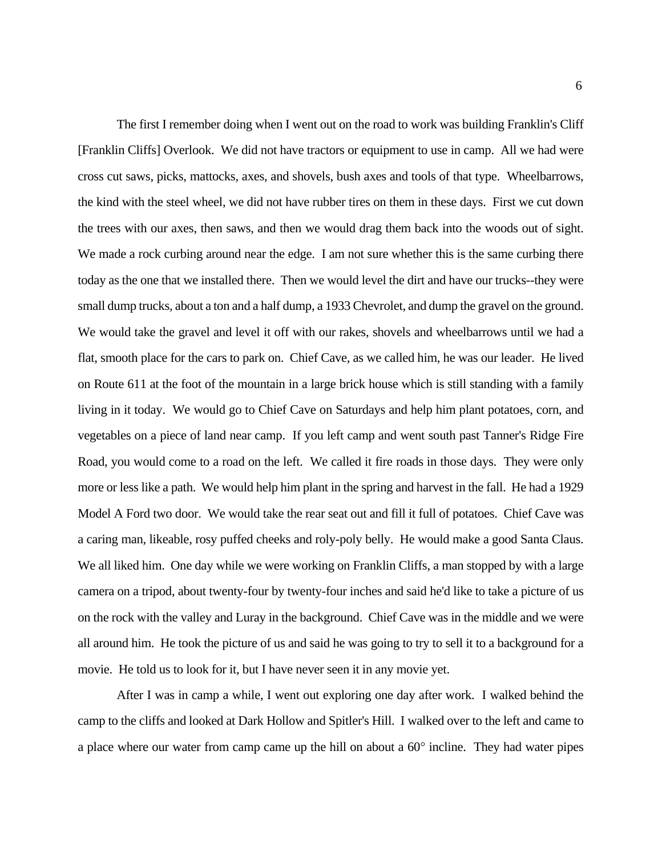The first I remember doing when I went out on the road to work was building Franklin's Cliff [Franklin Cliffs] Overlook. We did not have tractors or equipment to use in camp. All we had were cross cut saws, picks, mattocks, axes, and shovels, bush axes and tools of that type. Wheelbarrows, the kind with the steel wheel, we did not have rubber tires on them in these days. First we cut down the trees with our axes, then saws, and then we would drag them back into the woods out of sight. We made a rock curbing around near the edge. I am not sure whether this is the same curbing there today as the one that we installed there. Then we would level the dirt and have our trucks--they were small dump trucks, about a ton and a half dump, a 1933 Chevrolet, and dump the gravel on the ground. We would take the gravel and level it off with our rakes, shovels and wheelbarrows until we had a on Route 611 at the foot of the mountain in a large brick house which is still standing with a family vegetables on a piece of land near camp. If you left camp and went south past Tanner's Ridge Fire Road, you would come to a road on the left. We called it fire roads in those days. They were only more or less like a path. We would help him plant in the spring and harvest in the fall. He had a 1929 Model A Ford two door. We would take the rear seat out and fill it full of potatoes. Chief Cave was a caring man, likeable, rosy puffed cheeks and roly-poly belly. He would make a good Santa Claus. We all liked him. One day while we were working on Franklin Cliffs, a man stopped by with a large camera on a tripod, about twenty-four by twenty-four inches and said he'd like to take a picture of us on the rock with the valley and Luray in the background. Chief Cave was in the middle and we were all around him. He took the picture of us and said he was going to try to sell it to a background for a movie. He told us to look for it, but I have never seen it in any movie yet. flat, smooth place for the cars to park on. Chief Cave, as we called him, he was our leader. He lived living in it today. We would go to Chief Cave on Saturdays and help him plant potatoes, corn, and

 After I was in camp a while, I went out exploring one day after work. I walked behind the camp to the cliffs and looked at Dark Hollow and Spitler's Hill. I walked over to the left and came to a place where our water from camp came up the hill on about a 60° incline. They had water pipes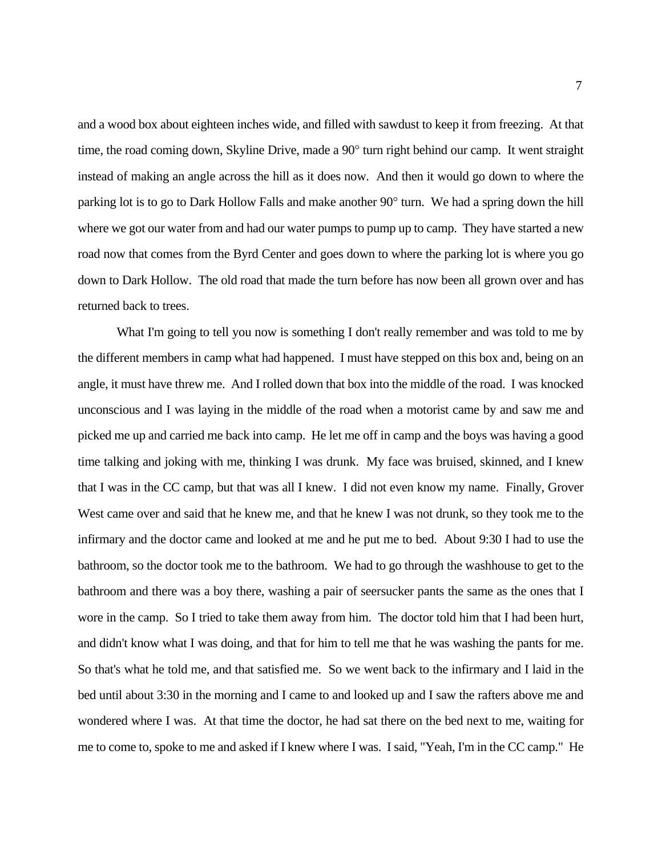and a wood box about eighteen inches wide, and filled with sawdust to keep it from freezing. At that time, the road coming down, Skyline Drive, made a 90° turn right behind our camp. It went straight instead of making an angle across the hill as it does now. And then it would go down to where the parking lot is to go to Dark Hollow Falls and make another 90° turn. We had a spring down the hill where we got our water from and had our water pumps to pump up to camp. They have started a new road now that comes from the Byrd Center and goes down to where the parking lot is where you go down to Dark Hollow. The old road that made the turn before has now been all grown over and has returned back to trees.

 the different members in camp what had happened. I must have stepped on this box and, being on an angle, it must have threw me. And I rolled down that box into the middle of the road. I was knocked unconscious and I was laying in the middle of the road when a motorist came by and saw me and picked me up and carried me back into camp. He let me off in camp and the boys was having a good time talking and joking with me, thinking I was drunk. My face was bruised, skinned, and I knew that I was in the CC camp, but that was all I knew. I did not even know my name. Finally, Grover West came over and said that he knew me, and that he knew I was not drunk, so they took me to the infirmary and the doctor came and looked at me and he put me to bed. About 9:30 I had to use the bathroom, so the doctor took me to the bathroom. We had to go through the washhouse to get to the bathroom and there was a boy there, washing a pair of seersucker pants the same as the ones that I wore in the camp. So I tried to take them away from him. The doctor told him that I had been hurt, and didn't know what I was doing, and that for him to tell me that he was washing the pants for me. So that's what he told me, and that satisfied me. So we went back to the infirmary and I laid in the bed until about 3:30 in the morning and I came to and looked up and I saw the rafters above me and wondered where I was. At that time the doctor, he had sat there on the bed next to me, waiting for me to come to, spoke to me and asked if I knew where I was. I said, "Yeah, I'm in the CC camp." He What I'm going to tell you now is something I don't really remember and was told to me by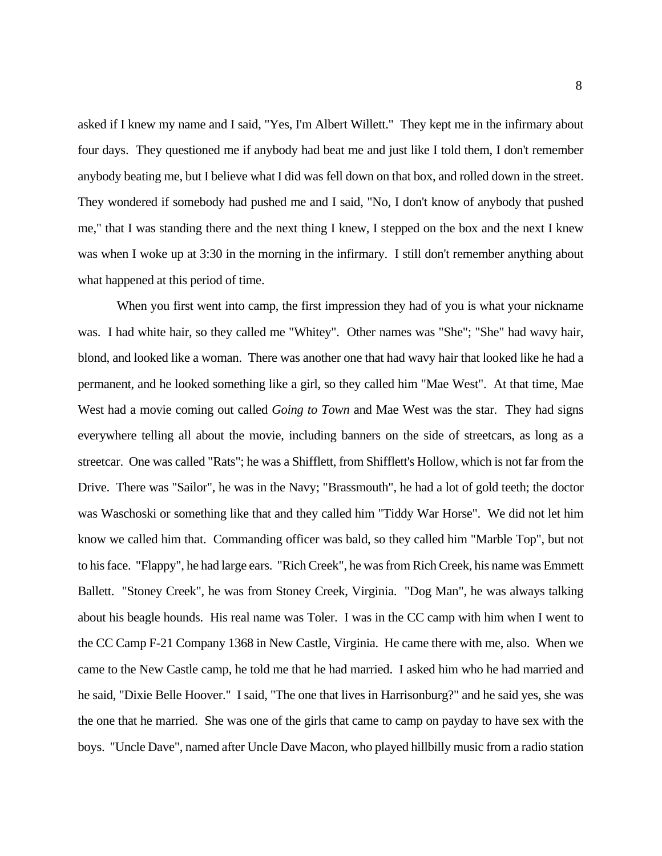asked if I knew my name and I said, "Yes, I'm Albert Willett." They kept me in the infirmary about anybody beating me, but I believe what I did was fell down on that box, and rolled down in the street. me," that I was standing there and the next thing I knew, I stepped on the box and the next I knew was when I woke up at 3:30 in the morning in the infirmary. I still don't remember anything about four days. They questioned me if anybody had beat me and just like I told them, I don't remember They wondered if somebody had pushed me and I said, "No, I don't know of anybody that pushed what happened at this period of time.

 When you first went into camp, the first impression they had of you is what your nickname was. I had white hair, so they called me "Whitey". Other names was "She"; "She" had wavy hair, permanent, and he looked something like a girl, so they called him "Mae West". At that time, Mae everywhere telling all about the movie, including banners on the side of streetcars, as long as a streetcar. One was called "Rats"; he was a Shifflett, from Shifflett's Hollow, which is not far from the was Waschoski or something like that and they called him "Tiddy War Horse". We did not let him know we called him that. Commanding officer was bald, so they called him "Marble Top", but not to his face. "Flappy", he had large ears. "Rich Creek", he was from Rich Creek, his name was Emmett Ballett. "Stoney Creek", he was from Stoney Creek, Virginia. "Dog Man", he was always talking about his beagle hounds. His real name was Toler. I was in the CC camp with him when I went to the CC Camp F-21 Company 1368 in New Castle, Virginia. He came there with me, also. When we came to the New Castle camp, he told me that he had married. I asked him who he had married and he said, "Dixie Belle Hoover." I said, "The one that lives in Harrisonburg?" and he said yes, she was the one that he married. She was one of the girls that came to camp on payday to have sex with the boys. "Uncle Dave", named after Uncle Dave Macon, who played hillbilly music from a radio station blond, and looked like a woman. There was another one that had wavy hair that looked like he had a West had a movie coming out called *Going to Town* and Mae West was the star. They had signs Drive. There was "Sailor", he was in the Navy; "Brassmouth", he had a lot of gold teeth; the doctor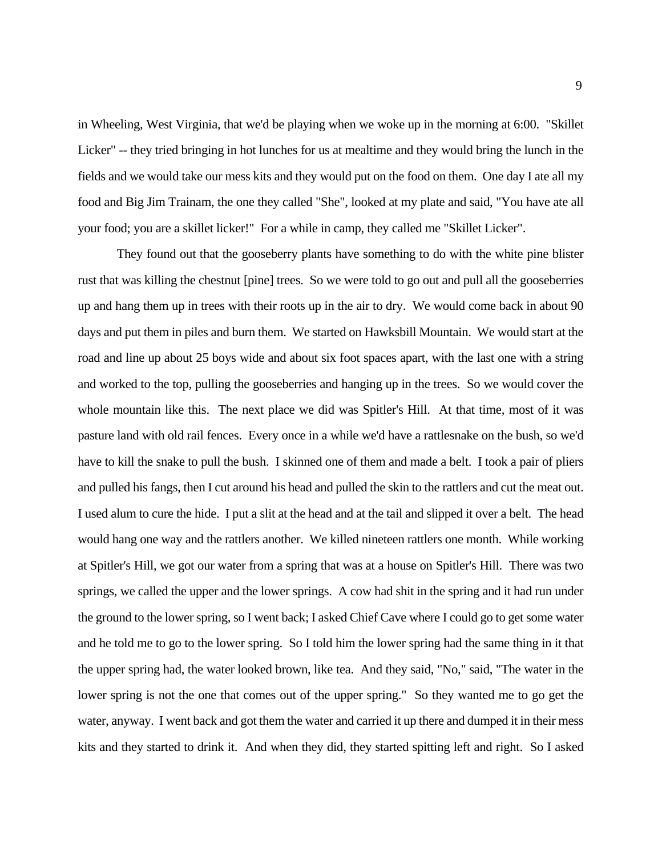in Wheeling, West Virginia, that we'd be playing when we woke up in the morning at 6:00. "Skillet Licker" -- they tried bringing in hot lunches for us at mealtime and they would bring the lunch in the fields and we would take our mess kits and they would put on the food on them. One day I ate all my food and Big Jim Trainam, the one they called "She", looked at my plate and said, "You have ate all your food; you are a skillet licker!" For a while in camp, they called me "Skillet Licker".

 They found out that the gooseberry plants have something to do with the white pine blister rust that was killing the chestnut [pine] trees. So we were told to go out and pull all the gooseberries up and hang them up in trees with their roots up in the air to dry. We would come back in about 90 days and put them in piles and burn them. We started on Hawksbill Mountain. We would start at the road and line up about 25 boys wide and about six foot spaces apart, with the last one with a string and worked to the top, pulling the gooseberries and hanging up in the trees. So we would cover the whole mountain like this. The next place we did was Spitler's Hill. At that time, most of it was pasture land with old rail fences. Every once in a while we'd have a rattlesnake on the bush, so we'd have to kill the snake to pull the bush. I skinned one of them and made a belt. I took a pair of pliers and pulled his fangs, then I cut around his head and pulled the skin to the rattlers and cut the meat out. I used alum to cure the hide. I put a slit at the head and at the tail and slipped it over a belt. The head would hang one way and the rattlers another. We killed nineteen rattlers one month. While working at Spitler's Hill, we got our water from a spring that was at a house on Spitler's Hill. There was two springs, we called the upper and the lower springs. A cow had shit in the spring and it had run under the ground to the lower spring, so I went back; I asked Chief Cave where I could go to get some water and he told me to go to the lower spring. So I told him the lower spring had the same thing in it that the upper spring had, the water looked brown, like tea. And they said, "No," said, "The water in the lower spring is not the one that comes out of the upper spring." So they wanted me to go get the water, anyway. I went back and got them the water and carried it up there and dumped it in their mess kits and they started to drink it. And when they did, they started spitting left and right. So I asked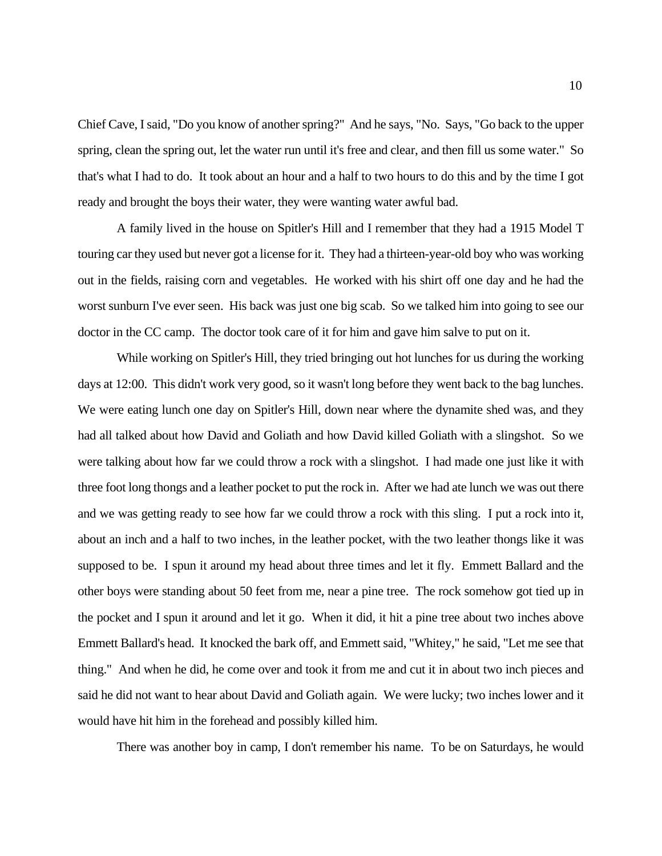Chief Cave, I said, "Do you know of another spring?" And he says, "No. Says, "Go back to the upper spring, clean the spring out, let the water run until it's free and clear, and then fill us some water." So that's what I had to do. It took about an hour and a half to two hours to do this and by the time I got ready and brought the boys their water, they were wanting water awful bad.

 A family lived in the house on Spitler's Hill and I remember that they had a 1915 Model T touring car they used but never got a license for it. They had a thirteen-year-old boy who was working out in the fields, raising corn and vegetables. He worked with his shirt off one day and he had the worst sunburn I've ever seen. His back was just one big scab. So we talked him into going to see our doctor in the CC camp. The doctor took care of it for him and gave him salve to put on it.

 While working on Spitler's Hill, they tried bringing out hot lunches for us during the working days at 12:00. This didn't work very good, so it wasn't long before they went back to the bag lunches. were talking about how far we could throw a rock with a slingshot. I had made one just like it with three foot long thongs and a leather pocket to put the rock in. After we had ate lunch we was out there and we was getting ready to see how far we could throw a rock with this sling. I put a rock into it, about an inch and a half to two inches, in the leather pocket, with the two leather thongs like it was supposed to be. I spun it around my head about three times and let it fly. Emmett Ballard and the Emmett Ballard's head. It knocked the bark off, and Emmett said, "Whitey," he said, "Let me see that thing." And when he did, he come over and took it from me and cut it in about two inch pieces and said he did not want to hear about David and Goliath again. We were lucky; two inches lower and it would have hit him in the forehead and possibly killed him. We were eating lunch one day on Spitler's Hill, down near where the dynamite shed was, and they had all talked about how David and Goliath and how David killed Goliath with a slingshot. So we other boys were standing about 50 feet from me, near a pine tree. The rock somehow got tied up in the pocket and I spun it around and let it go. When it did, it hit a pine tree about two inches above

There was another boy in camp, I don't remember his name. To be on Saturdays, he would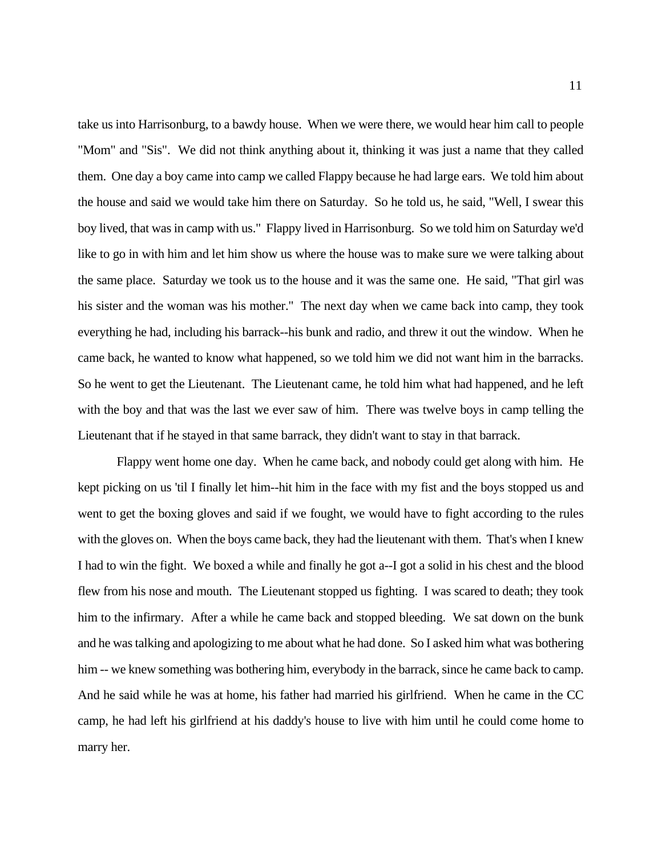take us into Harrisonburg, to a bawdy house. When we were there, we would hear him call to people "Mom" and "Sis". We did not think anything about it, thinking it was just a name that they called them. One day a boy came into camp we called Flappy because he had large ears. We told him about boy lived, that was in camp with us." Flappy lived in Harrisonburg. So we told him on Saturday we'd like to go in with him and let him show us where the house was to make sure we were talking about the same place. Saturday we took us to the house and it was the same one. He said, "That girl was his sister and the woman was his mother." The next day when we came back into camp, they took everything he had, including his barrack--his bunk and radio, and threw it out the window. When he came back, he wanted to know what happened, so we told him we did not want him in the barracks. So he went to get the Lieutenant. The Lieutenant came, he told him what had happened, and he left with the boy and that was the last we ever saw of him. There was twelve boys in camp telling the Lieutenant that if he stayed in that same barrack, they didn't want to stay in that barrack. the house and said we would take him there on Saturday. So he told us, he said, "Well, I swear this

 Flappy went home one day. When he came back, and nobody could get along with him. He kept picking on us 'til I finally let him--hit him in the face with my fist and the boys stopped us and went to get the boxing gloves and said if we fought, we would have to fight according to the rules with the gloves on. When the boys came back, they had the lieutenant with them. That's when I knew I had to win the fight. We boxed a while and finally he got a--I got a solid in his chest and the blood flew from his nose and mouth. The Lieutenant stopped us fighting. I was scared to death; they took him to the infirmary. After a while he came back and stopped bleeding. We sat down on the bunk and he was talking and apologizing to me about what he had done. So I asked him what was bothering him -- we knew something was bothering him, everybody in the barrack, since he came back to camp. him -- we knew something was bothering him, everybody in the barrack, since he came back to camp. And he said while he was at home, his father had married his girlfriend. When he came in the CC camp, he had left his girlfriend at his daddy's house to live with him until he could come home to marry her.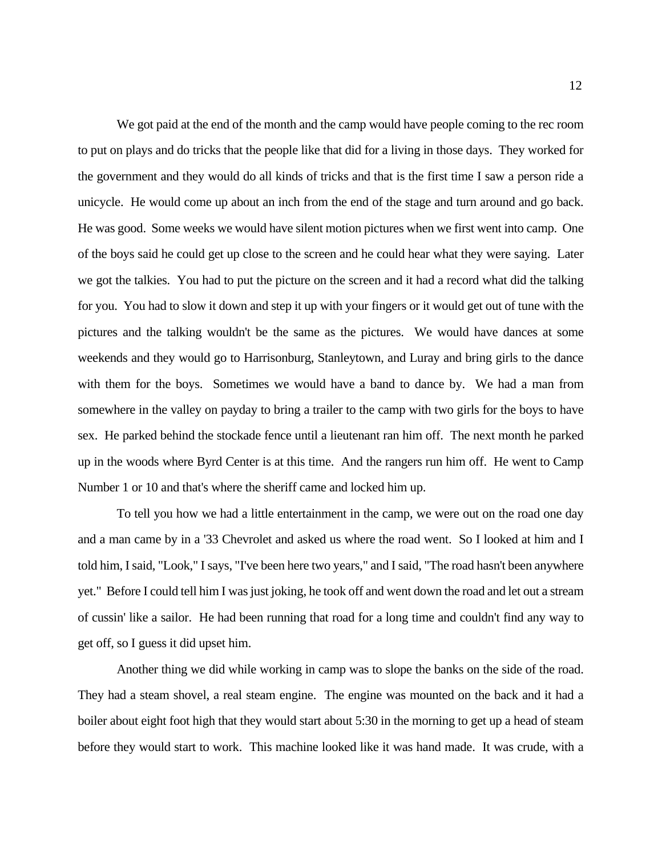We got paid at the end of the month and the camp would have people coming to the rec room the government and they would do all kinds of tricks and that is the first time I saw a person ride a unicycle. He would come up about an inch from the end of the stage and turn around and go back. of the boys said he could get up close to the screen and he could hear what they were saying. Later we got the talkies. You had to put the picture on the screen and it had a record what did the talking for you. You had to slow it down and step it up with your fingers or it would get out of tune with the pictures and the talking wouldn't be the same as the pictures. We would have dances at some weekends and they would go to Harrisonburg, Stanleytown, and Luray and bring girls to the dance with them for the boys. Sometimes we would have a band to dance by. We had a man from somewhere in the valley on payday to bring a trailer to the camp with two girls for the boys to have sex. He parked behind the stockade fence until a lieutenant ran him off. The next month he parked up in the woods where Byrd Center is at this time. And the rangers run him off. He went to Camp Number 1 or 10 and that's where the sheriff came and locked him up. to put on plays and do tricks that the people like that did for a living in those days. They worked for He was good. Some weeks we would have silent motion pictures when we first went into camp. One

 To tell you how we had a little entertainment in the camp, we were out on the road one day and a man came by in a '33 Chevrolet and asked us where the road went. So I looked at him and I told him, I said, "Look," I says, "I've been here two years," and I said, "The road hasn't been anywhere yet." Before I could tell him I was just joking, he took off and went down the road and let out a stream of cussin' like a sailor. He had been running that road for a long time and couldn't find any way to get off, so I guess it did upset him. get off, so I guess it did upset him.<br>Another thing we did while working in camp was to slope the banks on the side of the road.

 They had a steam shovel, a real steam engine. The engine was mounted on the back and it had a boiler about eight foot high that they would start about 5:30 in the morning to get up a head of steam before they would start to work. This machine looked like it was hand made. It was crude, with a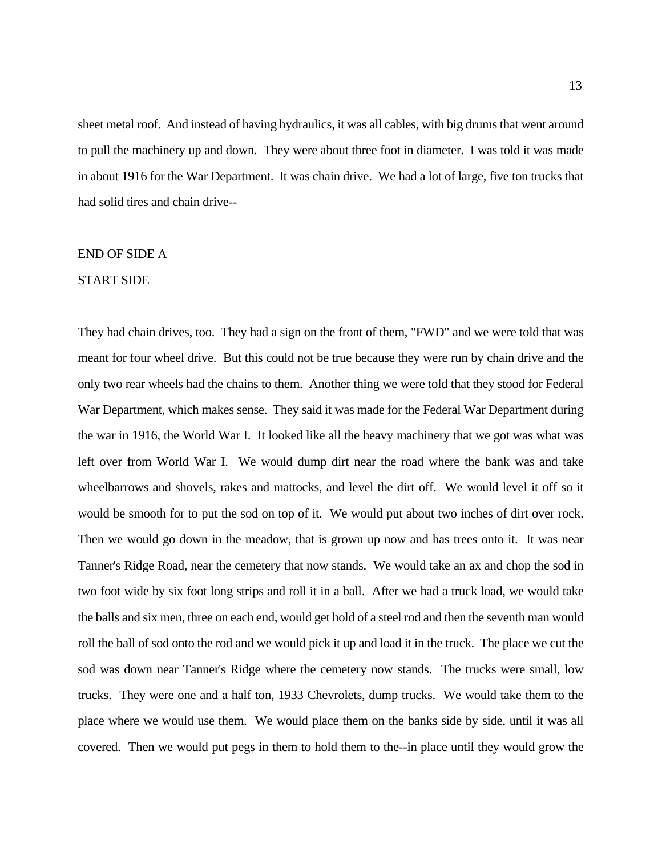sheet metal roof. And instead of having hydraulics, it was all cables, with big drums that went around to pull the machinery up and down. They were about three foot in diameter. I was told it was made in about 1916 for the War Department. It was chain drive. We had a lot of large, five ton trucks that had solid tires and chain drive--

#### END OF SIDE A

#### START SIDE

 They had chain drives, too. They had a sign on the front of them, "FWD" and we were told that was meant for four wheel drive. But this could not be true because they were run by chain drive and the only two rear wheels had the chains to them. Another thing we were told that they stood for Federal War Department, which makes sense. They said it was made for the Federal War Department during the war in 1916, the World War I. It looked like all the heavy machinery that we got was what was left over from World War I. We would dump dirt near the road where the bank was and take wheelbarrows and shovels, rakes and mattocks, and level the dirt off. We would level it off so it would be smooth for to put the sod on top of it. We would put about two inches of dirt over rock. Then we would go down in the meadow, that is grown up now and has trees onto it. It was near Tanner's Ridge Road, near the cemetery that now stands. We would take an ax and chop the sod in two foot wide by six foot long strips and roll it in a ball. After we had a truck load, we would take the balls and six men, three on each end, would get hold of a steel rod and then the seventh man would sod was down near Tanner's Ridge where the cemetery now stands. The trucks were small, low trucks. They were one and a half ton, 1933 Chevrolets, dump trucks. We would take them to the place where we would use them. We would place them on the banks side by side, until it was all covered. Then we would put pegs in them to hold them to the--in place until they would grow the roll the ball of sod onto the rod and we would pick it up and load it in the truck. The place we cut the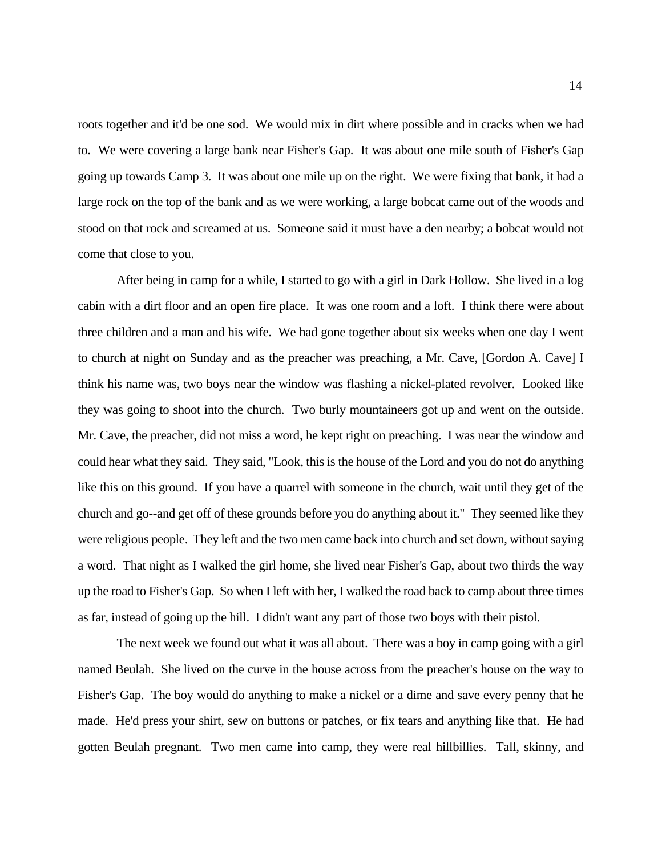roots together and it'd be one sod. We would mix in dirt where possible and in cracks when we had to. We were covering a large bank near Fisher's Gap. It was about one mile south of Fisher's Gap going up towards Camp 3. It was about one mile up on the right. We were fixing that bank, it had a large rock on the top of the bank and as we were working, a large bobcat came out of the woods and stood on that rock and screamed at us. Someone said it must have a den nearby; a bobcat would not come that close to you.

 After being in camp for a while, I started to go with a girl in Dark Hollow. She lived in a log cabin with a dirt floor and an open fire place. It was one room and a loft. I think there were about three children and a man and his wife. We had gone together about six weeks when one day I went to church at night on Sunday and as the preacher was preaching, a Mr. Cave, [Gordon A. Cave] I think his name was, two boys near the window was flashing a nickel-plated revolver. Looked like they was going to shoot into the church. Two burly mountaineers got up and went on the outside. Mr. Cave, the preacher, did not miss a word, he kept right on preaching. I was near the window and could hear what they said. They said, "Look, this is the house of the Lord and you do not do anything like this on this ground. If you have a quarrel with someone in the church, wait until they get of the church and go--and get off of these grounds before you do anything about it." They seemed like they a word. That night as I walked the girl home, she lived near Fisher's Gap, about two thirds the way up the road to Fisher's Gap. So when I left with her, I walked the road back to camp about three times as far, instead of going up the hill. I didn't want any part of those two boys with their pistol. were religious people. They left and the two men came back into church and set down, without saying

 The next week we found out what it was all about. There was a boy in camp going with a girl named Beulah. She lived on the curve in the house across from the preacher's house on the way to Fisher's Gap. The boy would do anything to make a nickel or a dime and save every penny that he made. He'd press your shirt, sew on buttons or patches, or fix tears and anything like that. He had gotten Beulah pregnant. Two men came into camp, they were real hillbillies. Tall, skinny, and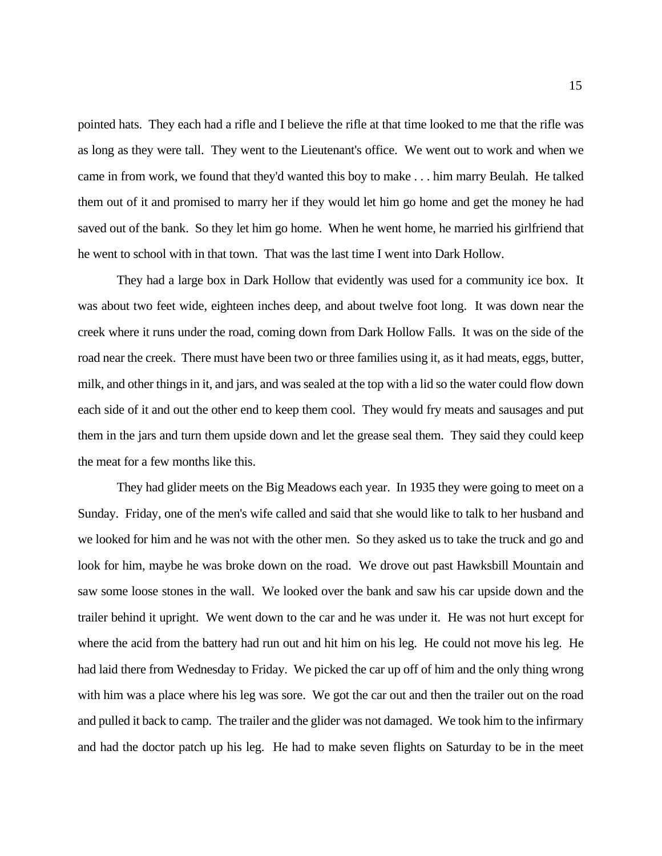pointed hats. They each had a rifle and I believe the rifle at that time looked to me that the rifle was as long as they were tall. They went to the Lieutenant's office. We went out to work and when we came in from work, we found that they'd wanted this boy to make . . . him marry Beulah. He talked them out of it and promised to marry her if they would let him go home and get the money he had saved out of the bank. So they let him go home. When he went home, he married his girlfriend that he went to school with in that town. That was the last time I went into Dark Hollow.

 They had a large box in Dark Hollow that evidently was used for a community ice box. It was about two feet wide, eighteen inches deep, and about twelve foot long. It was down near the creek where it runs under the road, coming down from Dark Hollow Falls. It was on the side of the road near the creek. There must have been two or three families using it, as it had meats, eggs, butter, milk, and other things in it, and jars, and was sealed at the top with a lid so the water could flow down each side of it and out the other end to keep them cool. They would fry meats and sausages and put them in the jars and turn them upside down and let the grease seal them. They said they could keep the meat for a few months like this.

 They had glider meets on the Big Meadows each year. In 1935 they were going to meet on a Sunday. Friday, one of the men's wife called and said that she would like to talk to her husband and look for him, maybe he was broke down on the road. We drove out past Hawksbill Mountain and saw some loose stones in the wall. We looked over the bank and saw his car upside down and the trailer behind it upright. We went down to the car and he was under it. He was not hurt except for where the acid from the battery had run out and hit him on his leg. He could not move his leg. He had laid there from Wednesday to Friday. We picked the car up off of him and the only thing wrong with him was a place where his leg was sore. We got the car out and then the trailer out on the road and pulled it back to camp. The trailer and the glider was not damaged. We took him to the infirmary and had the doctor patch up his leg. He had to make seven flights on Saturday to be in the meet we looked for him and he was not with the other men. So they asked us to take the truck and go and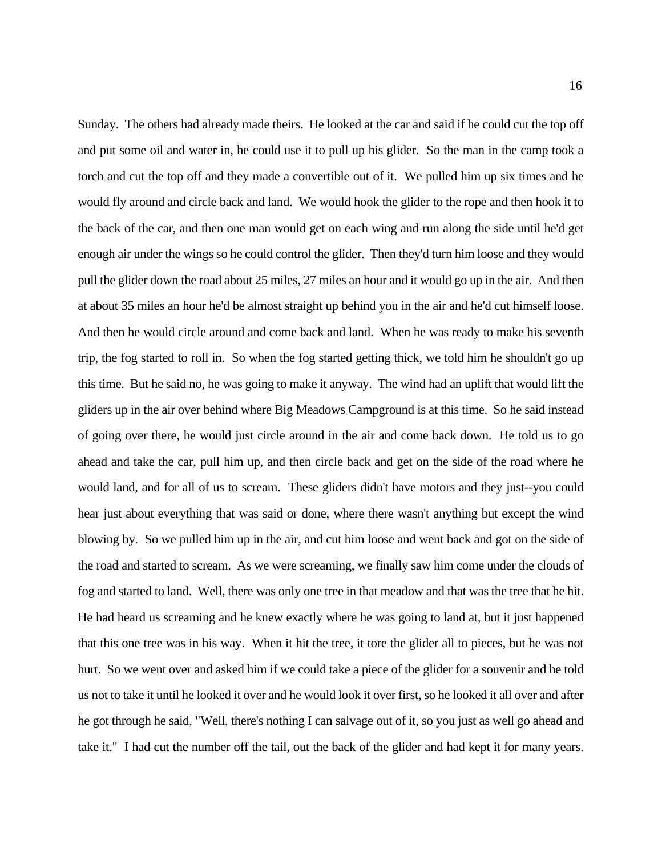Sunday. The others had already made theirs. He looked at the car and said if he could cut the top off and put some oil and water in, he could use it to pull up his glider. So the man in the camp took a torch and cut the top off and they made a convertible out of it. We pulled him up six times and he would fly around and circle back and land. We would hook the glider to the rope and then hook it to the back of the car, and then one man would get on each wing and run along the side until he'd get enough air under the wings so he could control the glider. Then they'd turn him loose and they would at about 35 miles an hour he'd be almost straight up behind you in the air and he'd cut himself loose. at about 35 miles an hour he'd be almost straight up behind you in the air and he'd cut himself loose. And then he would circle around and come back and land. When he was ready to make his seventh this time. But he said no, he was going to make it anyway. The wind had an uplift that would lift the gliders up in the air over behind where Big Meadows Campground is at this time. So he said instead ahead and take the car, pull him up, and then circle back and get on the side of the road where he would land, and for all of us to scream. These gliders didn't have motors and they just--you could hear just about everything that was said or done, where there wasn't anything but except the wind blowing by. So we pulled him up in the air, and cut him loose and went back and got on the side of the road and started to scream. As we were screaming, we finally saw him come under the clouds of fog and started to land. Well, there was only one tree in that meadow and that was the tree that he hit. He had heard us screaming and he knew exactly where he was going to land at, but it just happened that this one tree was in his way. When it hit the tree, it tore the glider all to pieces, but he was not hurt. So we went over and asked him if we could take a piece of the glider for a souvenir and he told us not to take it until he looked it over and he would look it over first, so he looked it all over and after he got through he said, "Well, there's nothing I can salvage out of it, so you just as well go ahead and take it." I had cut the number off the tail, out the back of the glider and had kept it for many years. pull the glider down the road about 25 miles, 27 miles an hour and it would go up in the air. And then trip, the fog started to roll in. So when the fog started getting thick, we told him he shouldn't go up of going over there, he would just circle around in the air and come back down. He told us to go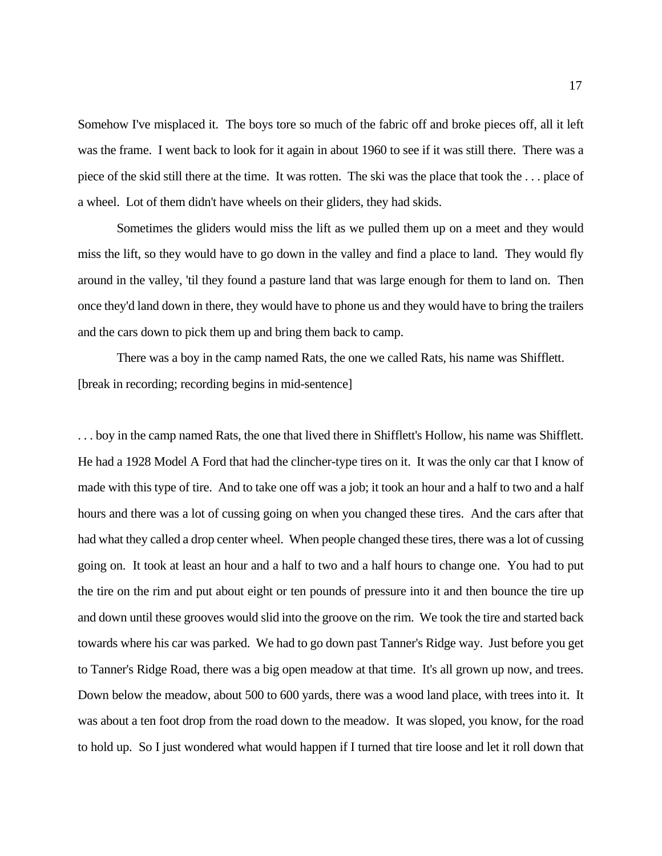Somehow I've misplaced it. The boys tore so much of the fabric off and broke pieces off, all it left was the frame. I went back to look for it again in about 1960 to see if it was still there. There was a piece of the skid still there at the time. It was rotten. The ski was the place that took the . . . place of a wheel. Lot of them didn't have wheels on their gliders, they had skids.

 Sometimes the gliders would miss the lift as we pulled them up on a meet and they would miss the lift, so they would have to go down in the valley and find a place to land. They would fly around in the valley, 'til they found a pasture land that was large enough for them to land on. Then once they'd land down in there, they would have to phone us and they would have to bring the trailers and the cars down to pick them up and bring them back to camp.

 There was a boy in the camp named Rats, the one we called Rats, his name was Shifflett. [break in recording; recording begins in mid-sentence]

 . . . boy in the camp named Rats, the one that lived there in Shifflett's Hollow, his name was Shifflett. He had a 1928 Model A Ford that had the clincher-type tires on it. It was the only car that I know of made with this type of tire. And to take one off was a job; it took an hour and a half to two and a half hours and there was a lot of cussing going on when you changed these tires. And the cars after that had what they called a drop center wheel. When people changed these tires, there was a lot of cussing the tire on the rim and put about eight or ten pounds of pressure into it and then bounce the tire up and down until these grooves would slid into the groove on the rim. We took the tire and started back towards where his car was parked. We had to go down past Tanner's Ridge way. Just before you get to Tanner's Ridge Road, there was a big open meadow at that time. It's all grown up now, and trees. Down below the meadow, about 500 to 600 yards, there was a wood land place, with trees into it. It was about a ten foot drop from the road down to the meadow. It was sloped, you know, for the road to hold up. So I just wondered what would happen if I turned that tire loose and let it roll down that going on. It took at least an hour and a half to two and a half hours to change one. You had to put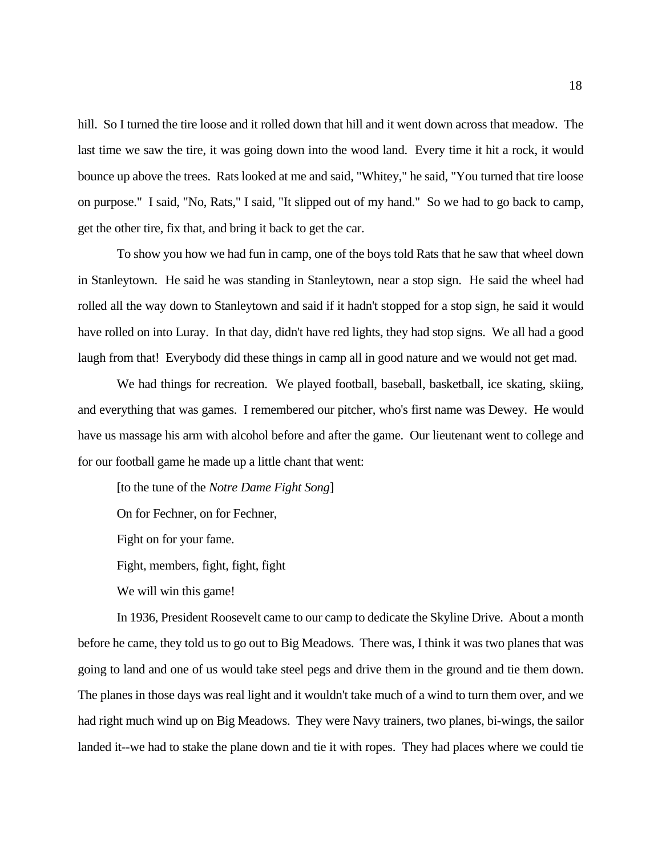last time we saw the tire, it was going down into the wood land. Every time it hit a rock, it would bounce up above the trees. Rats looked at me and said, "Whitey," he said, "You turned that tire loose on purpose." I said, "No, Rats," I said, "It slipped out of my hand." So we had to go back to camp, get the other tire, fix that, and bring it back to get the car. hill. So I turned the tire loose and it rolled down that hill and it went down across that meadow. The

 To show you how we had fun in camp, one of the boys told Rats that he saw that wheel down in Stanleytown. He said he was standing in Stanleytown, near a stop sign. He said the wheel had rolled all the way down to Stanleytown and said if it hadn't stopped for a stop sign, he said it would have rolled on into Luray. In that day, didn't have red lights, they had stop signs. We all had a good laugh from that! Everybody did these things in camp all in good nature and we would not get mad.

 We had things for recreation. We played football, baseball, basketball, ice skating, skiing, and everything that was games. I remembered our pitcher, who's first name was Dewey. He would have us massage his arm with alcohol before and after the game. Our lieutenant went to college and for our football game he made up a little chant that went:

[to the tune of the *Notre Dame Fight Song*]

On for Fechner, on for Fechner,

Fight on for your fame.

Fight, members, fight, fight, fight

We will win this game!

 In 1936, President Roosevelt came to our camp to dedicate the Skyline Drive. About a month before he came, they told us to go out to Big Meadows. There was, I think it was two planes that was going to land and one of us would take steel pegs and drive them in the ground and tie them down. The planes in those days was real light and it wouldn't take much of a wind to turn them over, and we had right much wind up on Big Meadows. They were Navy trainers, two planes, bi-wings, the sailor landed it--we had to stake the plane down and tie it with ropes. They had places where we could tie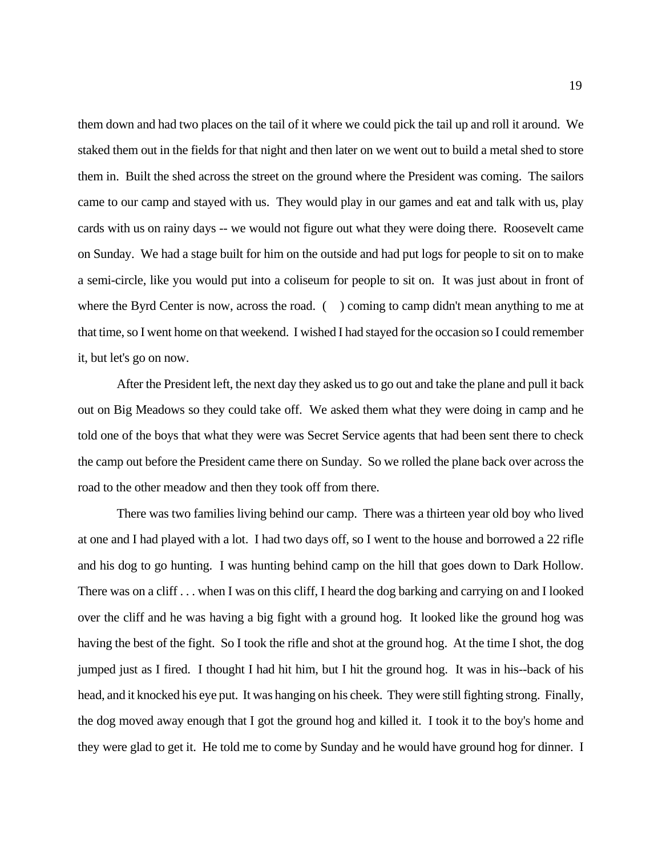them down and had two places on the tail of it where we could pick the tail up and roll it around. We staked them out in the fields for that night and then later on we went out to build a metal shed to store them in. Built the shed across the street on the ground where the President was coming. The sailors came to our camp and stayed with us. They would play in our games and eat and talk with us, play cards with us on rainy days -- we would not figure out what they were doing there. Roosevelt came on Sunday. We had a stage built for him on the outside and had put logs for people to sit on to make a semi-circle, like you would put into a coliseum for people to sit on. It was just about in front of where the Byrd Center is now, across the road. () coming to camp didn't mean anything to me at that time, so I went home on that weekend. I wished I had stayed for the occasion so I could remember it, but let's go on now.

 After the President left, the next day they asked us to go out and take the plane and pull it back out on Big Meadows so they could take off. We asked them what they were doing in camp and he told one of the boys that what they were was Secret Service agents that had been sent there to check the camp out before the President came there on Sunday. So we rolled the plane back over across the road to the other meadow and then they took off from there.

 There was two families living behind our camp. There was a thirteen year old boy who lived at one and I had played with a lot. I had two days off, so I went to the house and borrowed a 22 rifle and his dog to go hunting. I was hunting behind camp on the hill that goes down to Dark Hollow. and his dog to go hunting. I was hunting behind camp on the hill that goes down to Dark Hollow. There was on a cliff . . . when I was on this cliff, I heard the dog barking and carrying on and I looked over the cliff and he was having a big fight with a ground hog. It looked like the ground hog was having the best of the fight. So I took the rifle and shot at the ground hog. At the time I shot, the dog jumped just as I fired. I thought I had hit him, but I hit the ground hog. It was in his--back of his head, and it knocked his eye put. It was hanging on his cheek. They were still fighting strong. Finally, they were glad to get it. He told me to come by Sunday and he would have ground hog for dinner. I the dog moved away enough that I got the ground hog and killed it. I took it to the boy's home and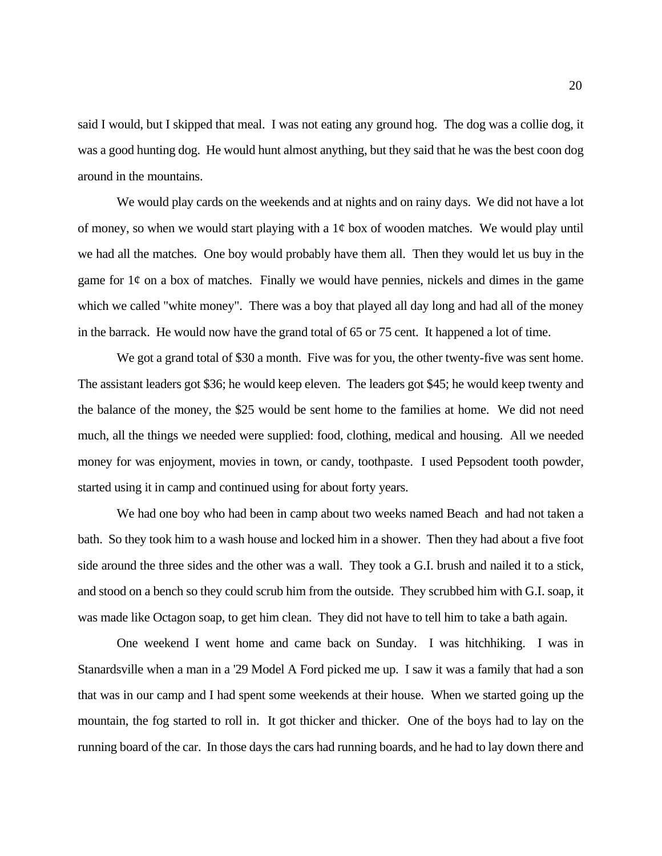said I would, but I skipped that meal. I was not eating any ground hog. The dog was a collie dog, it was a good hunting dog. He would hunt almost anything, but they said that he was the best coon dog around in the mountains.

 We would play cards on the weekends and at nights and on rainy days. We did not have a lot of money, so when we would start playing with a 1¢ box of wooden matches. We would play until we had all the matches. One boy would probably have them all. Then they would let us buy in the game for  $1¢$  on a box of matches. Finally we would have pennies, nickels and dimes in the game which we called "white money". There was a boy that played all day long and had all of the money in the barrack. He would now have the grand total of 65 or 75 cent. It happened a lot of time.

 We got a grand total of \$30 a month. Five was for you, the other twenty-five was sent home. The assistant leaders got \$36; he would keep eleven. The leaders got \$45; he would keep twenty and the balance of the money, the \$25 would be sent home to the families at home. We did not need much, all the things we needed were supplied: food, clothing, medical and housing. All we needed money for was enjoyment, movies in town, or candy, toothpaste. I used Pepsodent tooth powder, started using it in camp and continued using for about forty years.

 We had one boy who had been in camp about two weeks named Beach and had not taken a bath. So they took him to a wash house and locked him in a shower. Then they had about a five foot and stood on a bench so they could scrub him from the outside. They scrubbed him with G.I. soap, it was made like Octagon soap, to get him clean. They did not have to tell him to take a bath again. side around the three sides and the other was a wall. They took a G.I. brush and nailed it to a stick,

 One weekend I went home and came back on Sunday. I was hitchhiking. I was in Stanardsville when a man in a '29 Model A Ford picked me up. I saw it was a family that had a son that was in our camp and I had spent some weekends at their house. When we started going up the mountain, the fog started to roll in. It got thicker and thicker. One of the boys had to lay on the running board of the car. In those days the cars had running boards, and he had to lay down there and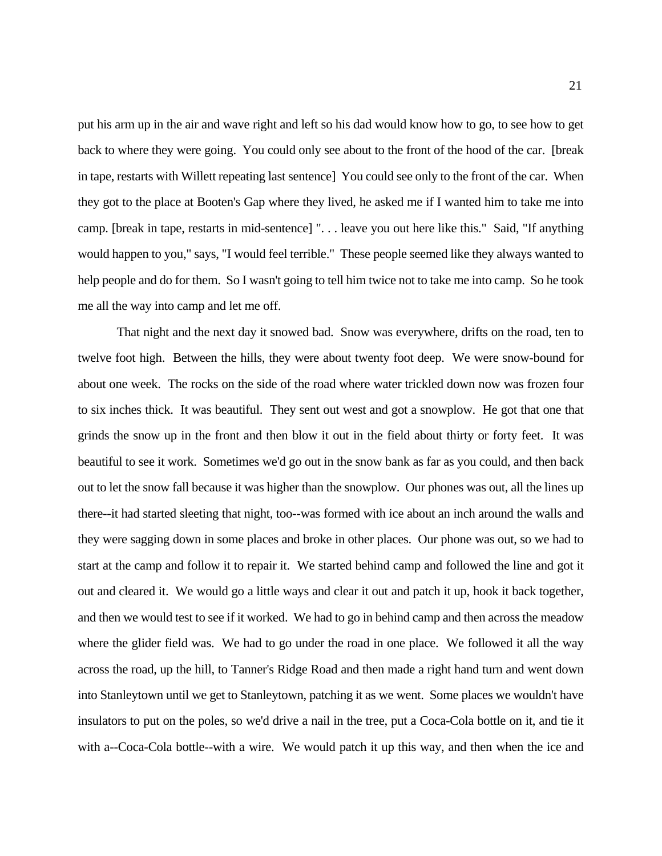put his arm up in the air and wave right and left so his dad would know how to go, to see how to get back to where they were going. You could only see about to the front of the hood of the car. [break in tape, restarts with Willett repeating last sentence] You could see only to the front of the car. When they got to the place at Booten's Gap where they lived, he asked me if I wanted him to take me into camp. [break in tape, restarts in mid-sentence] ". . . leave you out here like this." Said, "If anything help people and do for them. So I wasn't going to tell him twice not to take me into camp. So he took me all the way into camp and let me off. would happen to you," says, "I would feel terrible." These people seemed like they always wanted to

 That night and the next day it snowed bad. Snow was everywhere, drifts on the road, ten to twelve foot high. Between the hills, they were about twenty foot deep. We were snow-bound for about one week. The rocks on the side of the road where water trickled down now was frozen four to six inches thick. It was beautiful. They sent out west and got a snowplow. He got that one that grinds the snow up in the front and then blow it out in the field about thirty or forty feet. It was beautiful to see it work. Sometimes we'd go out in the snow bank as far as you could, and then back out to let the snow fall because it was higher than the snowplow. Our phones was out, all the lines up there--it had started sleeting that night, too--was formed with ice about an inch around the walls and they were sagging down in some places and broke in other places. Our phone was out, so we had to start at the camp and follow it to repair it. We started behind camp and followed the line and got it out and cleared it. We would go a little ways and clear it out and patch it up, hook it back together, and then we would test to see if it worked. We had to go in behind camp and then across the meadow where the glider field was. We had to go under the road in one place. We followed it all the way across the road, up the hill, to Tanner's Ridge Road and then made a right hand turn and went down into Stanleytown until we get to Stanleytown, patching it as we went. Some places we wouldn't have insulators to put on the poles, so we'd drive a nail in the tree, put a Coca-Cola bottle on it, and tie it with a--Coca-Cola bottle--with a wire. We would patch it up this way, and then when the ice and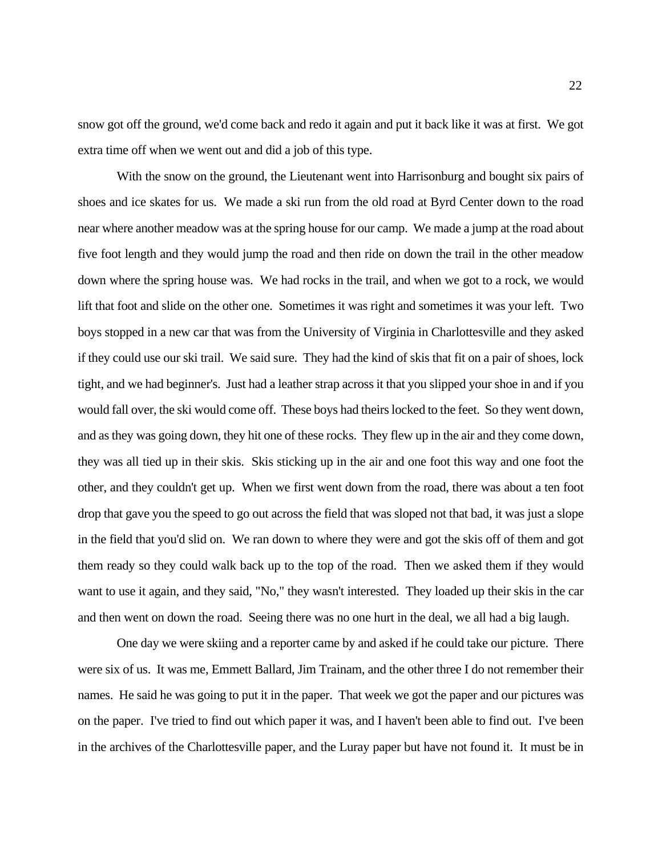snow got off the ground, we'd come back and redo it again and put it back like it was at first. We got extra time off when we went out and did a job of this type.

 With the snow on the ground, the Lieutenant went into Harrisonburg and bought six pairs of shoes and ice skates for us. We made a ski run from the old road at Byrd Center down to the road near where another meadow was at the spring house for our camp. We made a jump at the road about five foot length and they would jump the road and then ride on down the trail in the other meadow down where the spring house was. We had rocks in the trail, and when we got to a rock, we would lift that foot and slide on the other one. Sometimes it was right and sometimes it was your left. Two boys stopped in a new car that was from the University of Virginia in Charlottesville and they asked if they could use our ski trail. We said sure. They had the kind of skis that fit on a pair of shoes, lock tight, and we had beginner's. Just had a leather strap across it that you slipped your shoe in and if you would fall over, the ski would come off. These boys had theirs locked to the feet. So they went down, and as they was going down, they hit one of these rocks. They flew up in the air and they come down, they was all tied up in their skis. Skis sticking up in the air and one foot this way and one foot the other, and they couldn't get up. When we first went down from the road, there was about a ten foot drop that gave you the speed to go out across the field that was sloped not that bad, it was just a slope in the field that you'd slid on. We ran down to where they were and got the skis off of them and got them ready so they could walk back up to the top of the road. Then we asked them if they would and then went on down the road. Seeing there was no one hurt in the deal, we all had a big laugh. want to use it again, and they said, "No," they wasn't interested. They loaded up their skis in the car

 One day we were skiing and a reporter came by and asked if he could take our picture. There were six of us. It was me, Emmett Ballard, Jim Trainam, and the other three I do not remember their names. He said he was going to put it in the paper. That week we got the paper and our pictures was on the paper. I've tried to find out which paper it was, and I haven't been able to find out. I've been in the archives of the Charlottesville paper, and the Luray paper but have not found it. It must be in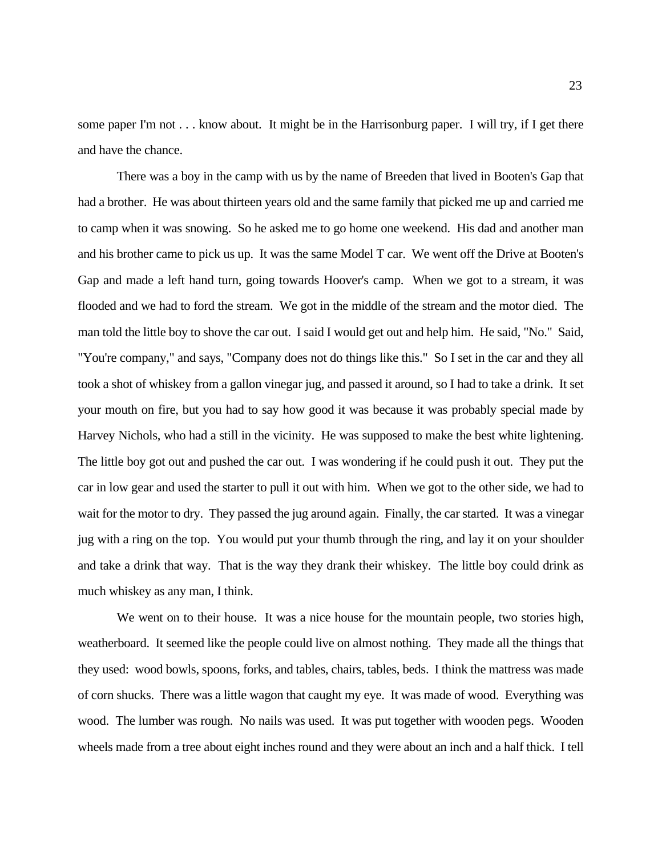some paper I'm not . . . know about. It might be in the Harrisonburg paper. I will try, if I get there and have the chance.

 There was a boy in the camp with us by the name of Breeden that lived in Booten's Gap that had a brother. He was about thirteen years old and the same family that picked me up and carried me to camp when it was snowing. So he asked me to go home one weekend. His dad and another man and his brother came to pick us up. It was the same Model T car. We went off the Drive at Booten's Gap and made a left hand turn, going towards Hoover's camp. When we got to a stream, it was flooded and we had to ford the stream. We got in the middle of the stream and the motor died. The man told the little boy to shove the car out. I said I would get out and help him. He said, "No." Said, "You're company," and says, "Company does not do things like this." So I set in the car and they all took a shot of whiskey from a gallon vinegar jug, and passed it around, so I had to take a drink. It set your mouth on fire, but you had to say how good it was because it was probably special made by Harvey Nichols, who had a still in the vicinity. He was supposed to make the best white lightening. The little boy got out and pushed the car out. I was wondering if he could push it out. They put the car in low gear and used the starter to pull it out with him. When we got to the other side, we had to wait for the motor to dry. They passed the jug around again. Finally, the car started. It was a vinegar jug with a ring on the top. You would put your thumb through the ring, and lay it on your shoulder and take a drink that way. That is the way they drank their whiskey. The little boy could drink as much whiskey as any man, I think.

 We went on to their house. It was a nice house for the mountain people, two stories high, weatherboard. It seemed like the people could live on almost nothing. They made all the things that they used: wood bowls, spoons, forks, and tables, chairs, tables, beds. I think the mattress was made of corn shucks. There was a little wagon that caught my eye. It was made of wood. Everything was wood. The lumber was rough. No nails was used. It was put together with wooden pegs. Wooden wheels made from a tree about eight inches round and they were about an inch and a half thick. I tell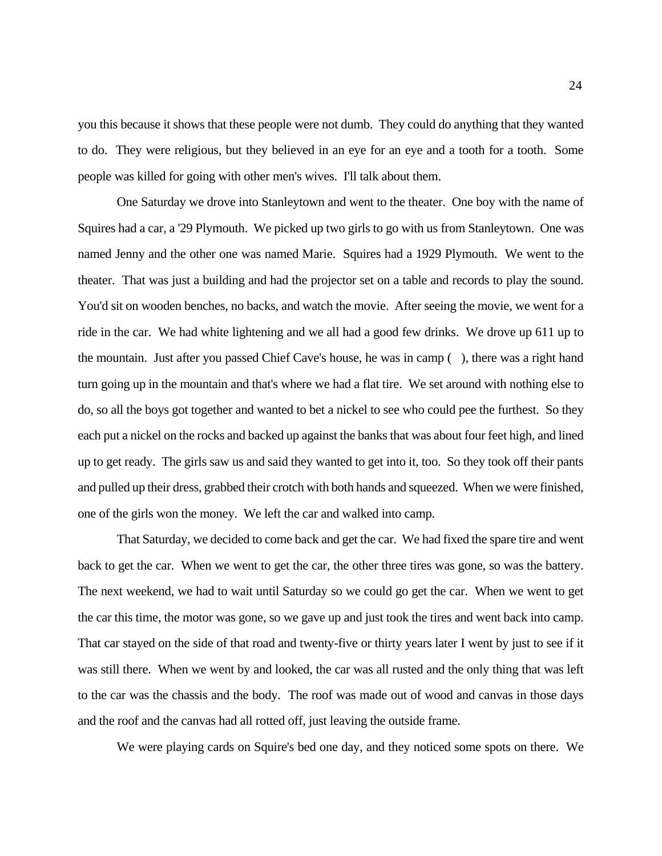you this because it shows that these people were not dumb. They could do anything that they wanted to do. They were religious, but they believed in an eye for an eye and a tooth for a tooth. Some people was killed for going with other men's wives. I'll talk about them.

 One Saturday we drove into Stanleytown and went to the theater. One boy with the name of Squires had a car, a '29 Plymouth. We picked up two girls to go with us from Stanleytown. One was named Jenny and the other one was named Marie. Squires had a 1929 Plymouth. We went to the theater. That was just a building and had the projector set on a table and records to play the sound. You'd sit on wooden benches, no backs, and watch the movie. After seeing the movie, we went for a ride in the car. We had white lightening and we all had a good few drinks. We drove up 611 up to the mountain. Just after you passed Chief Cave's house, he was in camp ( ), there was a right hand turn going up in the mountain and that's where we had a flat tire. We set around with nothing else to do, so all the boys got together and wanted to bet a nickel to see who could pee the furthest. So they each put a nickel on the rocks and backed up against the banks that was about four feet high, and lined up to get ready. The girls saw us and said they wanted to get into it, too. So they took off their pants and pulled up their dress, grabbed their crotch with both hands and squeezed. When we were finished, one of the girls won the money. We left the car and walked into camp.

 That Saturday, we decided to come back and get the car. We had fixed the spare tire and went back to get the car. When we went to get the car, the other three tires was gone, so was the battery. The next weekend, we had to wait until Saturday so we could go get the car. When we went to get the car this time, the motor was gone, so we gave up and just took the tires and went back into camp. was still there. When we went by and looked, the car was all rusted and the only thing that was left to the car was the chassis and the body. The roof was made out of wood and canvas in those days and the roof and the canvas had all rotted off, just leaving the outside frame. That car stayed on the side of that road and twenty-five or thirty years later I went by just to see if it

We were playing cards on Squire's bed one day, and they noticed some spots on there. We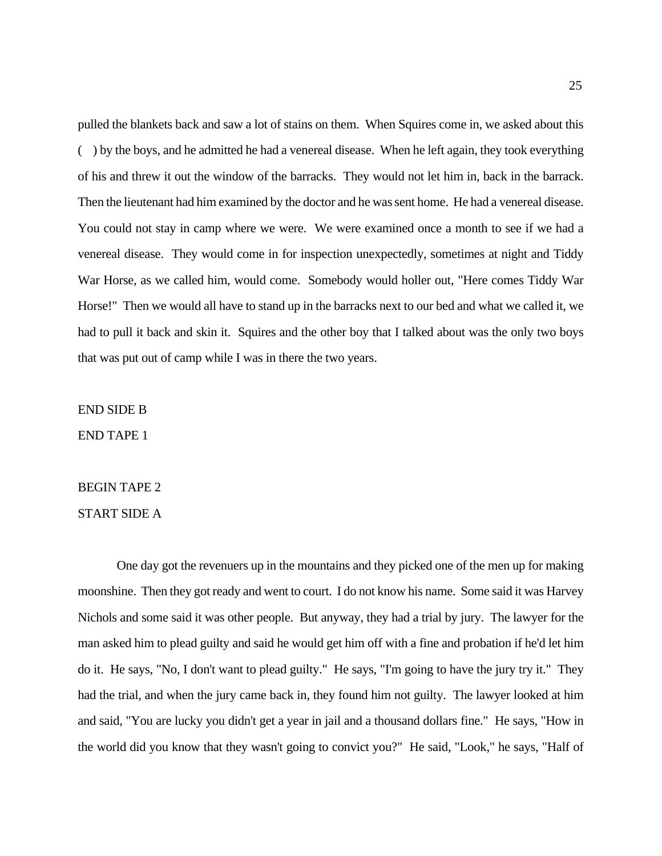pulled the blankets back and saw a lot of stains on them. When Squires come in, we asked about this ( ) by the boys, and he admitted he had a venereal disease. When he left again, they took everything of his and threw it out the window of the barracks. They would not let him in, back in the barrack. Then the lieutenant had him examined by the doctor and he was sent home. He had a venereal disease. Then the lieutenant had him examined by the doctor and he was sent home. He had a venereal disease. You could not stay in camp where we were. We were examined once a month to see if we had a venereal disease. They would come in for inspection unexpectedly, sometimes at night and Tiddy War Horse, as we called him, would come. Somebody would holler out, "Here comes Tiddy War Horse!" Then we would all have to stand up in the barracks next to our bed and what we called it, we had to pull it back and skin it. Squires and the other boy that I talked about was the only two boys that was put out of camp while I was in there the two years.

END SIDE B

END TAPE 1

# BEGIN TAPE 2<br>START SIDE A

 One day got the revenuers up in the mountains and they picked one of the men up for making moonshine. Then they got ready and went to court. I do not know his name. Some said it was Harvey Nichols and some said it was other people. But anyway, they had a trial by jury. The lawyer for the man asked him to plead guilty and said he would get him off with a fine and probation if he'd let him do it. He says, "No, I don't want to plead guilty." He says, "I'm going to have the jury try it." They had the trial, and when the jury came back in, they found him not guilty. The lawyer looked at him and said, "You are lucky you didn't get a year in jail and a thousand dollars fine." He says, "How in the world did you know that they wasn't going to convict you?" He said, "Look," he says, "Half of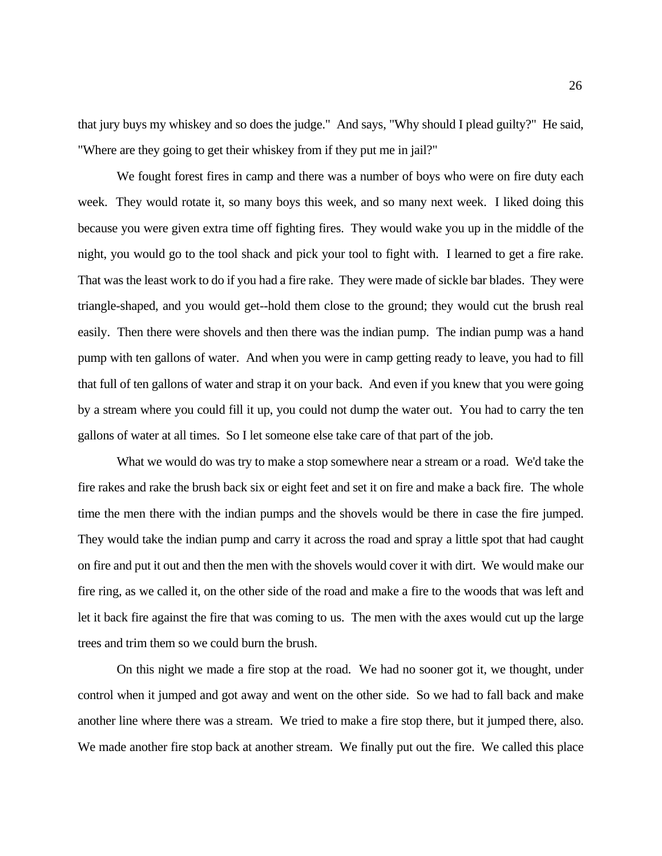that jury buys my whiskey and so does the judge." And says, "Why should I plead guilty?" He said, "Where are they going to get their whiskey from if they put me in jail?"

 We fought forest fires in camp and there was a number of boys who were on fire duty each week. They would rotate it, so many boys this week, and so many next week. I liked doing this because you were given extra time off fighting fires. They would wake you up in the middle of the night, you would go to the tool shack and pick your tool to fight with. I learned to get a fire rake. triangle-shaped, and you would get--hold them close to the ground; they would cut the brush real easily. Then there were shovels and then there was the indian pump. The indian pump was a hand pump with ten gallons of water. And when you were in camp getting ready to leave, you had to fill that full of ten gallons of water and strap it on your back. And even if you knew that you were going by a stream where you could fill it up, you could not dump the water out. You had to carry the ten gallons of water at all times. So I let someone else take care of that part of the job. That was the least work to do if you had a fire rake. They were made of sickle bar blades. They were

 What we would do was try to make a stop somewhere near a stream or a road. We'd take the fire rakes and rake the brush back six or eight feet and set it on fire and make a back fire. The whole time the men there with the indian pumps and the shovels would be there in case the fire jumped. They would take the indian pump and carry it across the road and spray a little spot that had caught on fire and put it out and then the men with the shovels would cover it with dirt. We would make our fire ring, as we called it, on the other side of the road and make a fire to the woods that was left and let it back fire against the fire that was coming to us. The men with the axes would cut up the large trees and trim them so we could burn the brush.

 control when it jumped and got away and went on the other side. So we had to fall back and make another line where there was a stream. We tried to make a fire stop there, but it jumped there, also. We made another fire stop back at another stream. We finally put out the fire. We called this place On this night we made a fire stop at the road. We had no sooner got it, we thought, under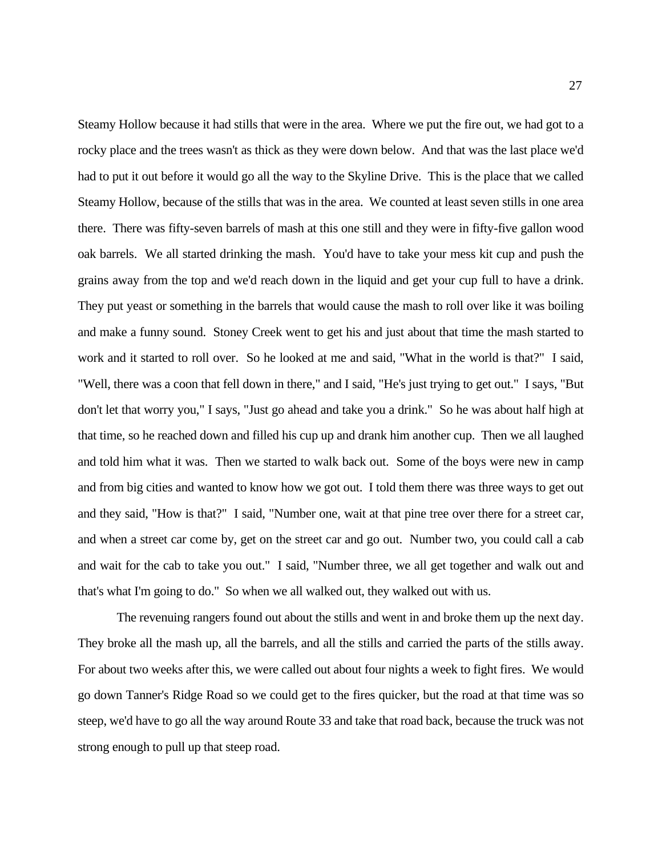Steamy Hollow because it had stills that were in the area. Where we put the fire out, we had got to a rocky place and the trees wasn't as thick as they were down below. And that was the last place we'd had to put it out before it would go all the way to the Skyline Drive. This is the place that we called Steamy Hollow, because of the stills that was in the area. We counted at least seven stills in one area there. There was fifty-seven barrels of mash at this one still and they were in fifty-five gallon wood grains away from the top and we'd reach down in the liquid and get your cup full to have a drink. They put yeast or something in the barrels that would cause the mash to roll over like it was boiling work and it started to roll over. So he looked at me and said, "What in the world is that?" I said, "Well, there was a coon that fell down in there," and I said, "He's just trying to get out." I says, "But don't let that worry you," I says, "Just go ahead and take you a drink." So he was about half high at that time, so he reached down and filled his cup up and drank him another cup. Then we all laughed and told him what it was. Then we started to walk back out. Some of the boys were new in camp and from big cities and wanted to know how we got out. I told them there was three ways to get out and they said, "How is that?" I said, "Number one, wait at that pine tree over there for a street car, and when a street car come by, get on the street car and go out. Number two, you could call a cab and wait for the cab to take you out." I said, "Number three, we all get together and walk out and that's what I'm going to do." So when we all walked out, they walked out with us. oak barrels. We all started drinking the mash. You'd have to take your mess kit cup and push the and make a funny sound. Stoney Creek went to get his and just about that time the mash started to

 The revenuing rangers found out about the stills and went in and broke them up the next day. They broke all the mash up, all the barrels, and all the stills and carried the parts of the stills away. For about two weeks after this, we were called out about four nights a week to fight fires. We would go down Tanner's Ridge Road so we could get to the fires quicker, but the road at that time was so steep, we'd have to go all the way around Route 33 and take that road back, because the truck was not strong enough to pull up that steep road.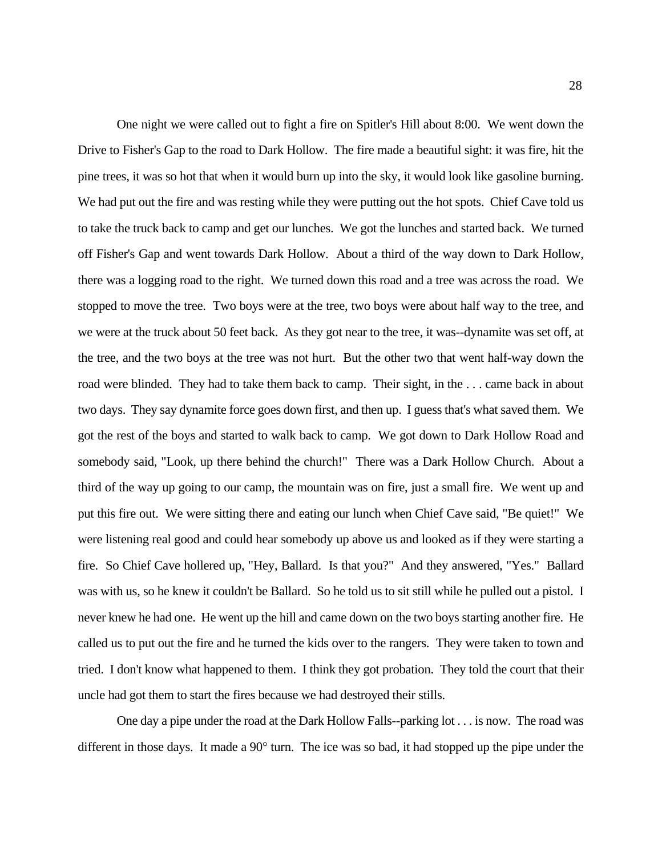One night we were called out to fight a fire on Spitler's Hill about 8:00. We went down the Drive to Fisher's Gap to the road to Dark Hollow. The fire made a beautiful sight: it was fire, hit the pine trees, it was so hot that when it would burn up into the sky, it would look like gasoline burning. We had put out the fire and was resting while they were putting out the hot spots. Chief Cave told us to take the truck back to camp and get our lunches. We got the lunches and started back. We turned off Fisher's Gap and went towards Dark Hollow. About a third of the way down to Dark Hollow, there was a logging road to the right. We turned down this road and a tree was across the road. We the tree, and the two boys at the tree was not hurt. But the other two that went half-way down the two days. They say dynamite force goes down first, and then up. I guess that's what saved them. We got the rest of the boys and started to walk back to camp. We got down to Dark Hollow Road and somebody said, "Look, up there behind the church!" There was a Dark Hollow Church. About a third of the way up going to our camp, the mountain was on fire, just a small fire. We went up and put this fire out. We were sitting there and eating our lunch when Chief Cave said, "Be quiet!" We fire. So Chief Cave hollered up, "Hey, Ballard. Is that you?" And they answered, "Yes." Ballard was with us, so he knew it couldn't be Ballard. So he told us to sit still while he pulled out a pistol. I never knew he had one. He went up the hill and came down on the two boys starting another fire. He called us to put out the fire and he turned the kids over to the rangers. They were taken to town and tried. I don't know what happened to them. I think they got probation. They told the court that their uncle had got them to start the fires because we had destroyed their stills. stopped to move the tree. Two boys were at the tree, two boys were about half way to the tree, and we were at the truck about 50 feet back. As they got near to the tree, it was--dynamite was set off, at road were blinded. They had to take them back to camp. Their sight, in the . . . came back in about were listening real good and could hear somebody up above us and looked as if they were starting a

 One day a pipe under the road at the Dark Hollow Falls--parking lot . . . is now. The road was different in those days. It made a 90° turn. The ice was so bad, it had stopped up the pipe under the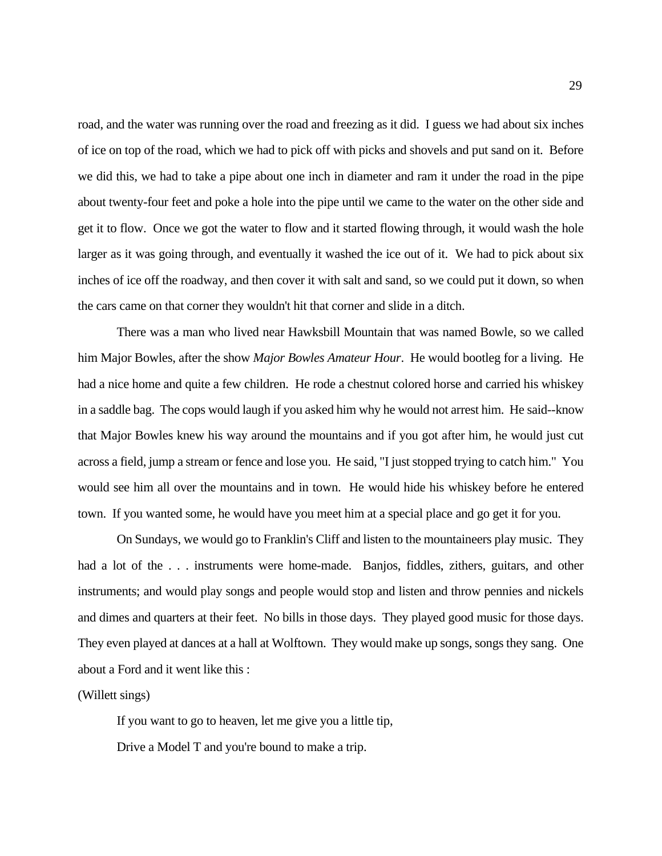road, and the water was running over the road and freezing as it did. I guess we had about six inches of ice on top of the road, which we had to pick off with picks and shovels and put sand on it. Before we did this, we had to take a pipe about one inch in diameter and ram it under the road in the pipe about twenty-four feet and poke a hole into the pipe until we came to the water on the other side and get it to flow. Once we got the water to flow and it started flowing through, it would wash the hole larger as it was going through, and eventually it washed the ice out of it. We had to pick about six inches of ice off the roadway, and then cover it with salt and sand, so we could put it down, so when the cars came on that corner they wouldn't hit that corner and slide in a ditch.

 There was a man who lived near Hawksbill Mountain that was named Bowle, so we called him Major Bowles, after the show *Major Bowles Amateur Hour*. He would bootleg for a living. He had a nice home and quite a few children. He rode a chestnut colored horse and carried his whiskey in a saddle bag. The cops would laugh if you asked him why he would not arrest him. He said--know that Major Bowles knew his way around the mountains and if you got after him, he would just cut across a field, jump a stream or fence and lose you. He said, "I just stopped trying to catch him." You would see him all over the mountains and in town. He would hide his whiskey before he entered town. If you wanted some, he would have you meet him at a special place and go get it for you.

 On Sundays, we would go to Franklin's Cliff and listen to the mountaineers play music. They had a lot of the . . . instruments were home-made. Banjos, fiddles, zithers, guitars, and other and dimes and quarters at their feet. No bills in those days. They played good music for those days. They even played at dances at a hall at Wolftown. They would make up songs, songs they sang. One instruments; and would play songs and people would stop and listen and throw pennies and nickels about a Ford and it went like this :

(Willett sings)

(Willett sings)<br>If you want to go to heaven, let me give you a little tip,

Drive a Model T and you're bound to make a trip.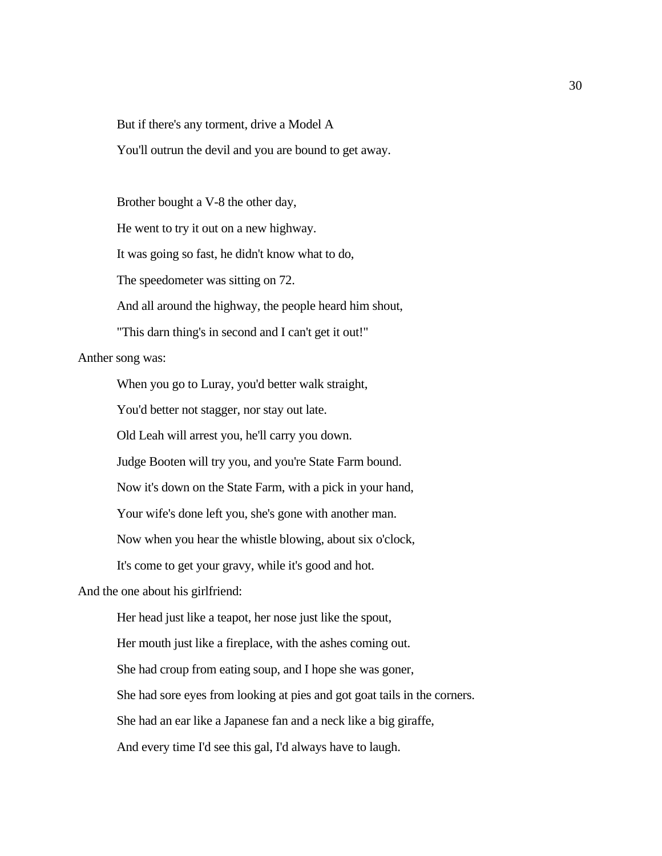But if there's any torment, drive a Model A

You'll outrun the devil and you are bound to get away.

Brother bought a V-8 the other day,

He went to try it out on a new highway.

It was going so fast, he didn't know what to do,

The speedometer was sitting on 72.

And all around the highway, the people heard him shout,

"This darn thing's in second and I can't get it out!"

Anther song was:

When you go to Luray, you'd better walk straight,

You'd better not stagger, nor stay out late.

Old Leah will arrest you, he'll carry you down.

Judge Booten will try you, and you're State Farm bound.

Now it's down on the State Farm, with a pick in your hand,

Your wife's done left you, she's gone with another man.

Now when you hear the whistle blowing, about six o'clock,

It's come to get your gravy, while it's good and hot.

And the one about his girlfriend:

 Her mouth just like a fireplace, with the ashes coming out. She had sore eyes from looking at pies and got goat tails in the corners. She had an ear like a Japanese fan and a neck like a big giraffe, Her head just like a teapot, her nose just like the spout, She had croup from eating soup, and I hope she was goner, And every time I'd see this gal, I'd always have to laugh.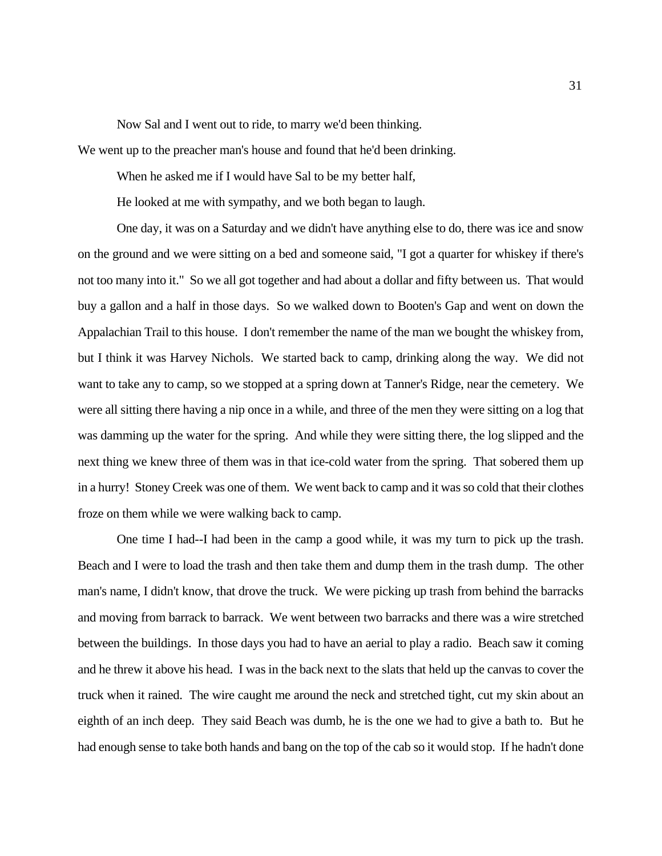Now Sal and I went out to ride, to marry we'd been thinking.

We went up to the preacher man's house and found that he'd been drinking.

When he asked me if I would have Sal to be my better half,

He looked at me with sympathy, and we both began to laugh.

 One day, it was on a Saturday and we didn't have anything else to do, there was ice and snow on the ground and we were sitting on a bed and someone said, "I got a quarter for whiskey if there's not too many into it." So we all got together and had about a dollar and fifty between us. That would buy a gallon and a half in those days. So we walked down to Booten's Gap and went on down the Appalachian Trail to this house. I don't remember the name of the man we bought the whiskey from, but I think it was Harvey Nichols. We started back to camp, drinking along the way. We did not want to take any to camp, so we stopped at a spring down at Tanner's Ridge, near the cemetery. We were all sitting there having a nip once in a while, and three of the men they were sitting on a log that was damming up the water for the spring. And while they were sitting there, the log slipped and the next thing we knew three of them was in that ice-cold water from the spring. That sobered them up in a hurry! Stoney Creek was one of them. We went back to camp and it was so cold that their clothes froze on them while we were walking back to camp.

 One time I had--I had been in the camp a good while, it was my turn to pick up the trash. Beach and I were to load the trash and then take them and dump them in the trash dump. The other man's name, I didn't know, that drove the truck. We were picking up trash from behind the barracks and moving from barrack to barrack. We went between two barracks and there was a wire stretched and he threw it above his head. I was in the back next to the slats that held up the canvas to cover the truck when it rained. The wire caught me around the neck and stretched tight, cut my skin about an eighth of an inch deep. They said Beach was dumb, he is the one we had to give a bath to. But he had enough sense to take both hands and bang on the top of the cab so it would stop. If he hadn't done between the buildings. In those days you had to have an aerial to play a radio. Beach saw it coming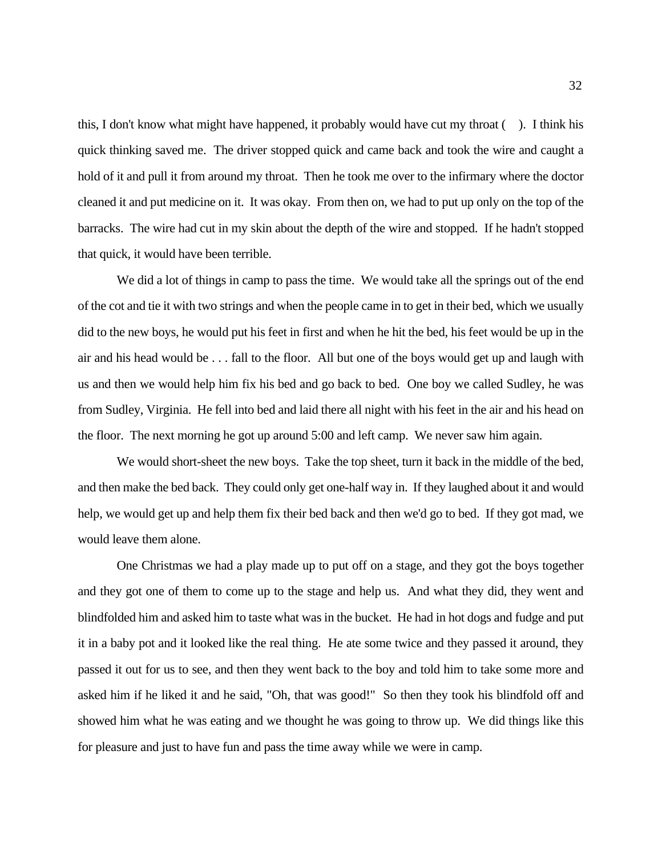this, I don't know what might have happened, it probably would have cut my throat ( ). I think his quick thinking saved me. The driver stopped quick and came back and took the wire and caught a hold of it and pull it from around my throat. Then he took me over to the infirmary where the doctor cleaned it and put medicine on it. It was okay. From then on, we had to put up only on the top of the barracks. The wire had cut in my skin about the depth of the wire and stopped. If he hadn't stopped that quick, it would have been terrible.

 We did a lot of things in camp to pass the time. We would take all the springs out of the end of the cot and tie it with two strings and when the people came in to get in their bed, which we usually did to the new boys, he would put his feet in first and when he hit the bed, his feet would be up in the air and his head would be . . . fall to the floor. All but one of the boys would get up and laugh with us and then we would help him fix his bed and go back to bed. One boy we called Sudley, he was from Sudley, Virginia. He fell into bed and laid there all night with his feet in the air and his head on the floor. The next morning he got up around 5:00 and left camp. We never saw him again.

 We would short-sheet the new boys. Take the top sheet, turn it back in the middle of the bed, and then make the bed back. They could only get one-half way in. If they laughed about it and would help, we would get up and help them fix their bed back and then we'd go to bed. If they got mad, we would leave them alone.

 One Christmas we had a play made up to put off on a stage, and they got the boys together and they got one of them to come up to the stage and help us. And what they did, they went and blindfolded him and asked him to taste what was in the bucket. He had in hot dogs and fudge and put it in a baby pot and it looked like the real thing. He ate some twice and they passed it around, they passed it out for us to see, and then they went back to the boy and told him to take some more and asked him if he liked it and he said, "Oh, that was good!" So then they took his blindfold off and showed him what he was eating and we thought he was going to throw up. We did things like this for pleasure and just to have fun and pass the time away while we were in camp.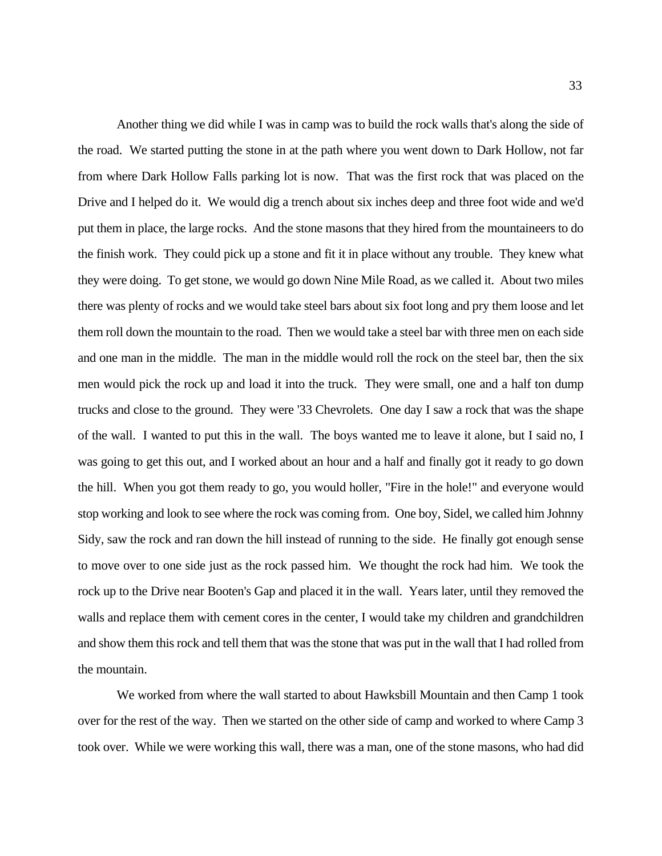Another thing we did while I was in camp was to build the rock walls that's along the side of the road. We started putting the stone in at the path where you went down to Dark Hollow, not far from where Dark Hollow Falls parking lot is now. That was the first rock that was placed on the Drive and I helped do it. We would dig a trench about six inches deep and three foot wide and we'd put them in place, the large rocks. And the stone masons that they hired from the mountaineers to do the finish work. They could pick up a stone and fit it in place without any trouble. They knew what they were doing. To get stone, we would go down Nine Mile Road, as we called it. About two miles there was plenty of rocks and we would take steel bars about six foot long and pry them loose and let them roll down the mountain to the road. Then we would take a steel bar with three men on each side and one man in the middle. The man in the middle would roll the rock on the steel bar, then the six trucks and close to the ground. They were '33 Chevrolets. One day I saw a rock that was the shape of the wall. I wanted to put this in the wall. The boys wanted me to leave it alone, but I said no, I was going to get this out, and I worked about an hour and a half and finally got it ready to go down the hill. When you got them ready to go, you would holler, "Fire in the hole!" and everyone would Sidy, saw the rock and ran down the hill instead of running to the side. He finally got enough sense to move over to one side just as the rock passed him. We thought the rock had him. We took the rock up to the Drive near Booten's Gap and placed it in the wall. Years later, until they removed the walls and replace them with cement cores in the center, I would take my children and grandchildren and show them this rock and tell them that was the stone that was put in the wall that I had rolled from men would pick the rock up and load it into the truck. They were small, one and a half ton dump stop working and look to see where the rock was coming from. One boy, Sidel, we called him Johnny the mountain.

 We worked from where the wall started to about Hawksbill Mountain and then Camp 1 took over for the rest of the way. Then we started on the other side of camp and worked to where Camp 3 took over. While we were working this wall, there was a man, one of the stone masons, who had did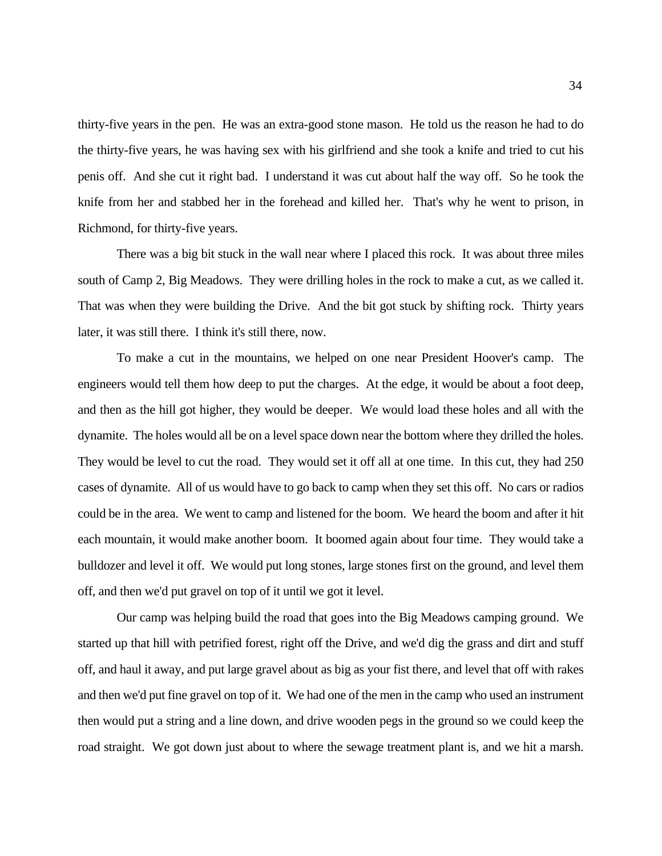thirty-five years in the pen. He was an extra-good stone mason. He told us the reason he had to do the thirty-five years, he was having sex with his girlfriend and she took a knife and tried to cut his penis off. And she cut it right bad. I understand it was cut about half the way off. So he took the knife from her and stabbed her in the forehead and killed her. That's why he went to prison, in Richmond, for thirty-five years.

 There was a big bit stuck in the wall near where I placed this rock. It was about three miles south of Camp 2, Big Meadows. They were drilling holes in the rock to make a cut, as we called it. later, it was still there. I think it's still there, now. That was when they were building the Drive. And the bit got stuck by shifting rock. Thirty years

 To make a cut in the mountains, we helped on one near President Hoover's camp. The engineers would tell them how deep to put the charges. At the edge, it would be about a foot deep, and then as the hill got higher, they would be deeper. We would load these holes and all with the dynamite. The holes would all be on a level space down near the bottom where they drilled the holes. They would be level to cut the road. They would set it off all at one time. In this cut, they had 250 cases of dynamite. All of us would have to go back to camp when they set this off. No cars or radios could be in the area. We went to camp and listened for the boom. We heard the boom and after it hit bulldozer and level it off. We would put long stones, large stones first on the ground, and level them off, and then we'd put gravel on top of it until we got it level. each mountain, it would make another boom. It boomed again about four time. They would take a

 started up that hill with petrified forest, right off the Drive, and we'd dig the grass and dirt and stuff off, and haul it away, and put large gravel about as big as your fist there, and level that off with rakes and then we'd put fine gravel on top of it. We had one of the men in the camp who used an instrument road straight. We got down just about to where the sewage treatment plant is, and we hit a marsh. Our camp was helping build the road that goes into the Big Meadows camping ground. We then would put a string and a line down, and drive wooden pegs in the ground so we could keep the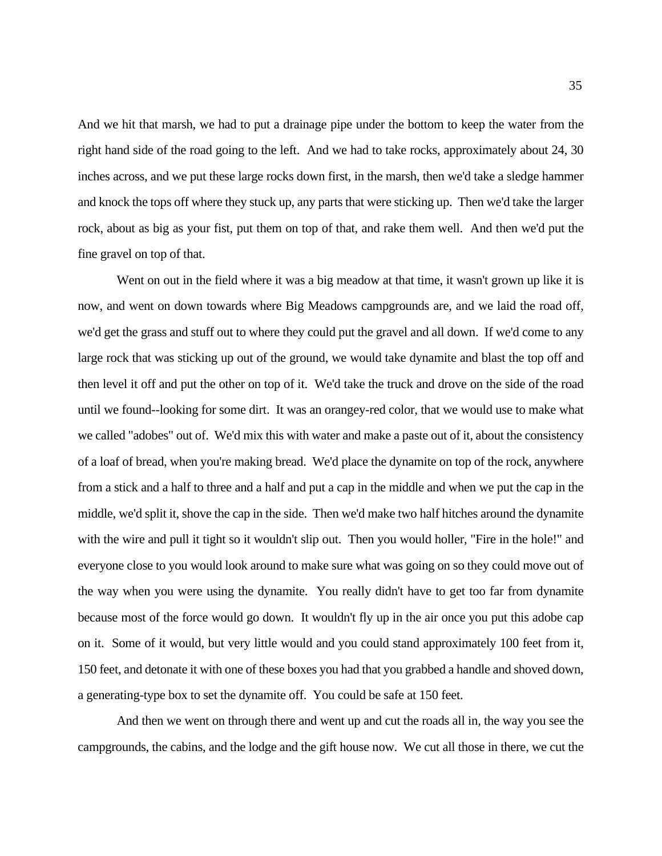And we hit that marsh, we had to put a drainage pipe under the bottom to keep the water from the right hand side of the road going to the left. And we had to take rocks, approximately about 24, 30 inches across, and we put these large rocks down first, in the marsh, then we'd take a sledge hammer and knock the tops off where they stuck up, any parts that were sticking up. Then we'd take the larger rock, about as big as your fist, put them on top of that, and rake them well. And then we'd put the fine gravel on top of that.

 Went on out in the field where it was a big meadow at that time, it wasn't grown up like it is now, and went on down towards where Big Meadows campgrounds are, and we laid the road off, we'd get the grass and stuff out to where they could put the gravel and all down. If we'd come to any large rock that was sticking up out of the ground, we would take dynamite and blast the top off and then level it off and put the other on top of it. We'd take the truck and drove on the side of the road until we found--looking for some dirt. It was an orangey-red color, that we would use to make what we called "adobes" out of. We'd mix this with water and make a paste out of it, about the consistency of a loaf of bread, when you're making bread. We'd place the dynamite on top of the rock, anywhere from a stick and a half to three and a half and put a cap in the middle and when we put the cap in the middle, we'd split it, shove the cap in the side. Then we'd make two half hitches around the dynamite with the wire and pull it tight so it wouldn't slip out. Then you would holler, "Fire in the hole!" and everyone close to you would look around to make sure what was going on so they could move out of the way when you were using the dynamite. You really didn't have to get too far from dynamite because most of the force would go down. It wouldn't fly up in the air once you put this adobe cap on it. Some of it would, but very little would and you could stand approximately 100 feet from it, 150 feet, and detonate it with one of these boxes you had that you grabbed a handle and shoved down, a generating-type box to set the dynamite off. You could be safe at 150 feet.

 And then we went on through there and went up and cut the roads all in, the way you see the campgrounds, the cabins, and the lodge and the gift house now. We cut all those in there, we cut the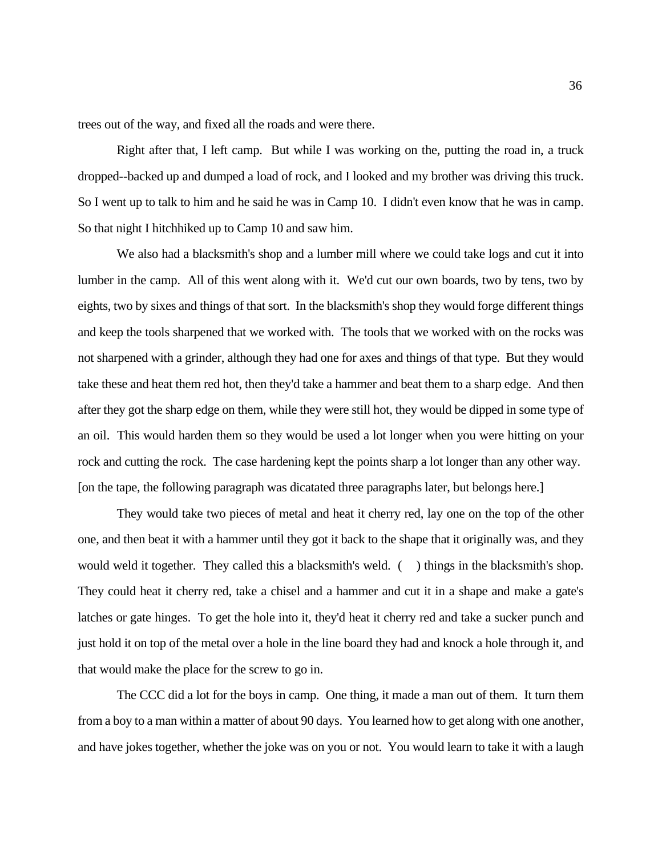trees out of the way, and fixed all the roads and were there.

 Right after that, I left camp. But while I was working on the, putting the road in, a truck So I went up to talk to him and he said he was in Camp 10. I didn't even know that he was in camp. So that night I hitchhiked up to Camp 10 and saw him. dropped--backed up and dumped a load of rock, and I looked and my brother was driving this truck.

 We also had a blacksmith's shop and a lumber mill where we could take logs and cut it into lumber in the camp. All of this went along with it. We'd cut our own boards, two by tens, two by eights, two by sixes and things of that sort. In the blacksmith's shop they would forge different things and keep the tools sharpened that we worked with. The tools that we worked with on the rocks was not sharpened with a grinder, although they had one for axes and things of that type. But they would take these and heat them red hot, then they'd take a hammer and beat them to a sharp edge. And then after they got the sharp edge on them, while they were still hot, they would be dipped in some type of rock and cutting the rock. The case hardening kept the points sharp a lot longer than any other way. an oil. This would harden them so they would be used a lot longer when you were hitting on your [on the tape, the following paragraph was dicatated three paragraphs later, but belongs here.]

 They would take two pieces of metal and heat it cherry red, lay one on the top of the other one, and then beat it with a hammer until they got it back to the shape that it originally was, and they would weld it together. They called this a blacksmith's weld. () things in the blacksmith's shop. They could heat it cherry red, take a chisel and a hammer and cut it in a shape and make a gate's latches or gate hinges. To get the hole into it, they'd heat it cherry red and take a sucker punch and just hold it on top of the metal over a hole in the line board they had and knock a hole through it, and that would make the place for the screw to go in.

 The CCC did a lot for the boys in camp. One thing, it made a man out of them. It turn them from a boy to a man within a matter of about 90 days. You learned how to get along with one another, and have jokes together, whether the joke was on you or not. You would learn to take it with a laugh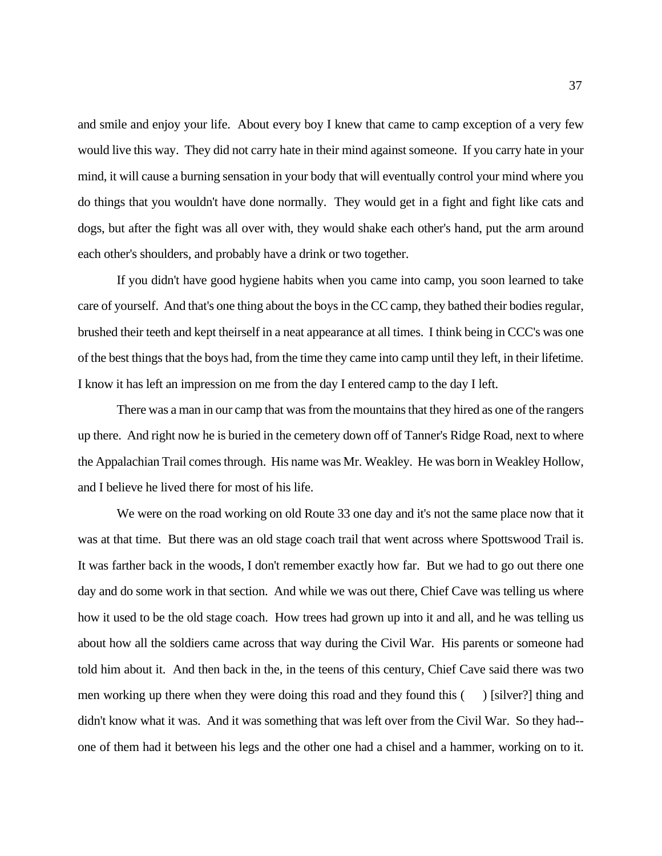and smile and enjoy your life. About every boy I knew that came to camp exception of a very few would live this way. They did not carry hate in their mind against someone. If you carry hate in your mind, it will cause a burning sensation in your body that will eventually control your mind where you do things that you wouldn't have done normally. They would get in a fight and fight like cats and dogs, but after the fight was all over with, they would shake each other's hand, put the arm around each other's shoulders, and probably have a drink or two together.

 If you didn't have good hygiene habits when you came into camp, you soon learned to take care of yourself. And that's one thing about the boys in the CC camp, they bathed their bodies regular, brushed their teeth and kept theirself in a neat appearance at all times. I think being in CCC's was one of the best things that the boys had, from the time they came into camp until they left, in their lifetime. I know it has left an impression on me from the day I entered camp to the day I left.

 There was a man in our camp that was from the mountains that they hired as one of the rangers up there. And right now he is buried in the cemetery down off of Tanner's Ridge Road, next to where the Appalachian Trail comes through. His name was Mr. Weakley. He was born in Weakley Hollow, and I believe he lived there for most of his life.

 We were on the road working on old Route 33 one day and it's not the same place now that it was at that time. But there was an old stage coach trail that went across where Spottswood Trail is. It was farther back in the woods, I don't remember exactly how far. But we had to go out there one day and do some work in that section. And while we was out there, Chief Cave was telling us where how it used to be the old stage coach. How trees had grown up into it and all, and he was telling us about how all the soldiers came across that way during the Civil War. His parents or someone had told him about it. And then back in the, in the teens of this century, Chief Cave said there was two men working up there when they were doing this road and they found this () [silver?] thing and didn't know what it was. And it was something that was left over from the Civil War. So they had-- one of them had it between his legs and the other one had a chisel and a hammer, working on to it.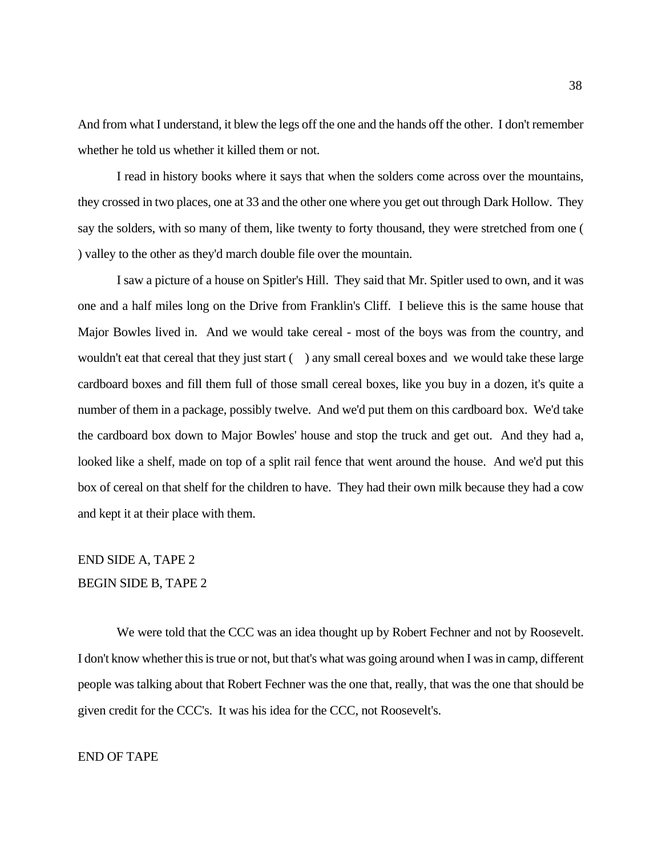whether he told us whether it killed them or not. And from what I understand, it blew the legs off the one and the hands off the other. I don't remember

 I read in history books where it says that when the solders come across over the mountains, they crossed in two places, one at 33 and the other one where you get out through Dark Hollow. They say the solders, with so many of them, like twenty to forty thousand, they were stretched from one ( ) valley to the other as they'd march double file over the mountain.

 one and a half miles long on the Drive from Franklin's Cliff. I believe this is the same house that Major Bowles lived in. And we would take cereal - most of the boys was from the country, and cardboard boxes and fill them full of those small cereal boxes, like you buy in a dozen, it's quite a the cardboard box down to Major Bowles' house and stop the truck and get out. And they had a, looked like a shelf, made on top of a split rail fence that went around the house. And we'd put this box of cereal on that shelf for the children to have. They had their own milk because they had a cow I saw a picture of a house on Spitler's Hill. They said that Mr. Spitler used to own, and it was wouldn't eat that cereal that they just start () any small cereal boxes and we would take these large number of them in a package, possibly twelve. And we'd put them on this cardboard box. We'd take and kept it at their place with them.

# **BEGIN SIDE B, TAPE 2** END SIDE A, TAPE 2

We were told that the CCC was an idea thought up by Robert Fechner and not by Roosevelt. BEGIN SIDE B, TAPE 2<br>We were told that the CCC was an idea thought up by Robert Fechner and not by Roosevelt.<br>I don't know whether this is true or not, but that's what was going around when I was in camp, different people was talking about that Robert Fechner was the one that, really, that was the one that should be

given credit for the CCC's. It was his idea for the CCC, not Roosevelt's.

#### END OF TAPE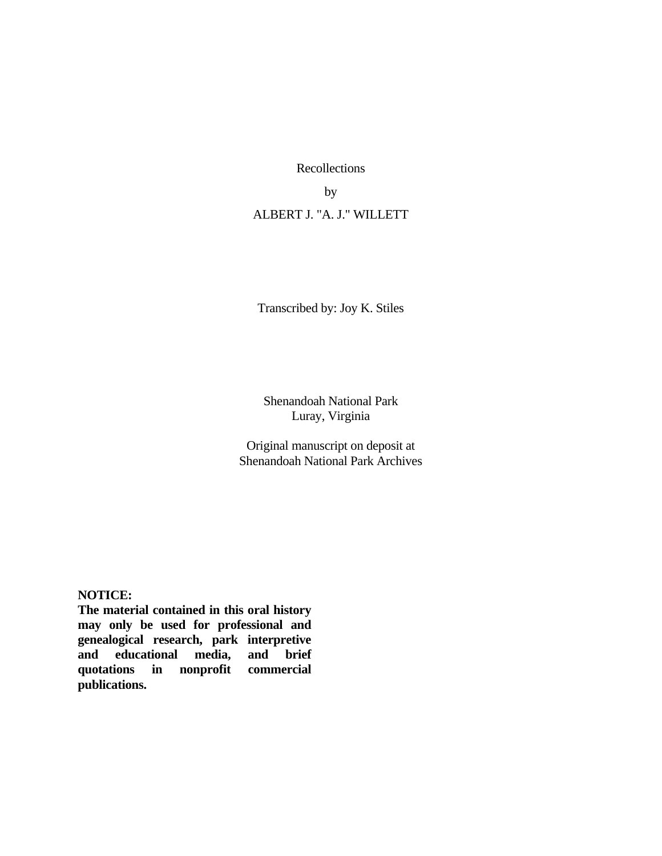Recollections

by

ALBERT J. "A. J." WILLETT

Transcribed by: Joy K. Stiles

Shenandoah National Park Luray, Virginia

Original manuscript on deposit at Shenandoah National Park Archives

#### **NOTICE:**

 **and educational media, and brief The material contained in this oral history may only be used for professional and genealogical research, park interpretive quotations in nonprofit commercial publications.**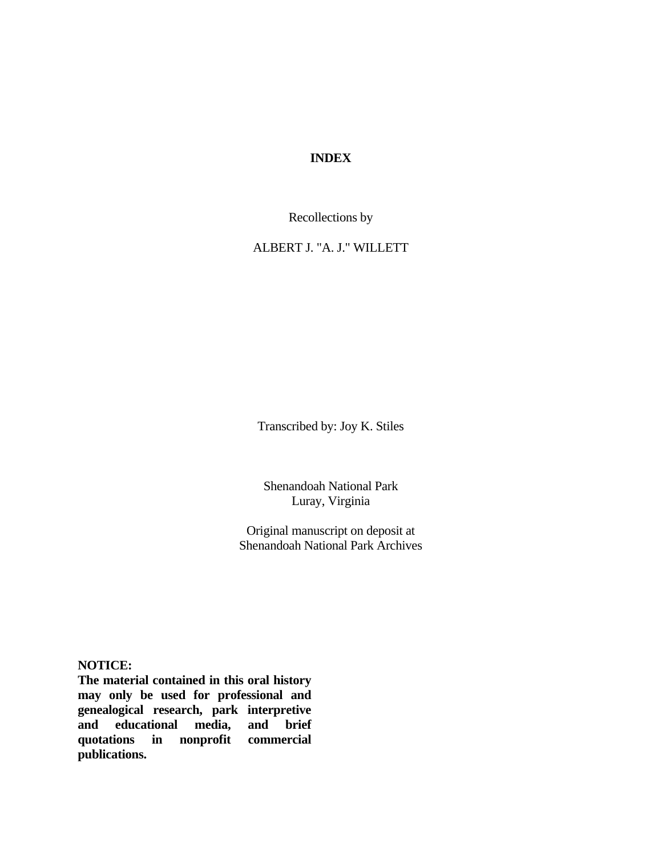### **INDEX**

Recollections by

ALBERT J. "A. J." WILLETT

Transcribed by: Joy K. Stiles

Shenandoah National Park Luray, Virginia

Original manuscript on deposit at Shenandoah National Park Archives

**NOTICE:** 

 **The material contained in this oral history and educational media, and brief may only be used for professional and genealogical research, park interpretive quotations in nonprofit commercial publications.**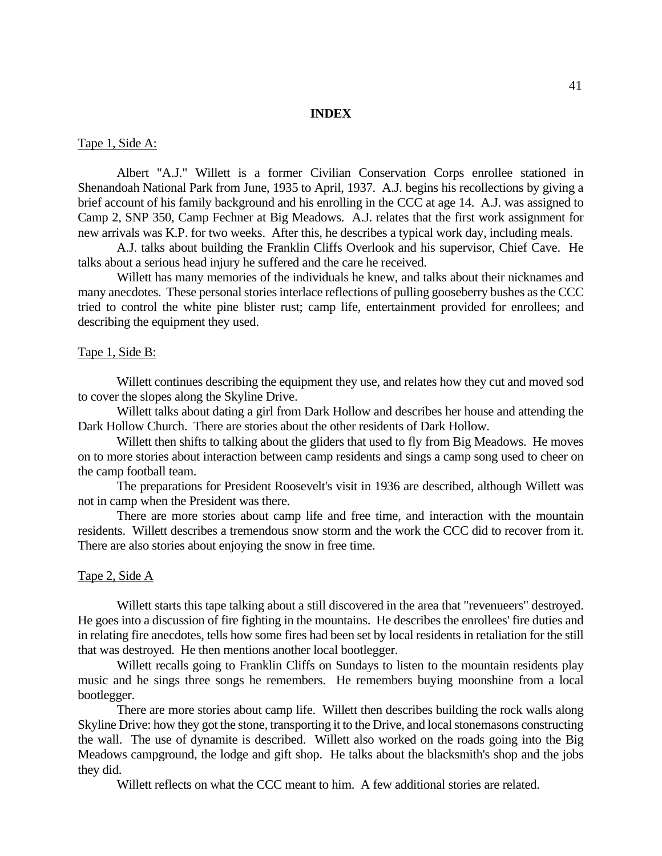#### **INDEX**

#### Tape 1, Side A:

 Albert "A.J." Willett is a former Civilian Conservation Corps enrollee stationed in Shenandoah National Park from June, 1935 to April, 1937. A.J. begins his recollections by giving a brief account of his family background and his enrolling in the CCC at age 14. A.J. was assigned to Camp 2, SNP 350, Camp Fechner at Big Meadows. A.J. relates that the first work assignment for new arrivals was K.P. for two weeks. After this, he describes a typical work day, including meals.

 A.J. talks about building the Franklin Cliffs Overlook and his supervisor, Chief Cave. He talks about a serious head injury he suffered and the care he received.

 Willett has many memories of the individuals he knew, and talks about their nicknames and many anecdotes. These personal stories interlace reflections of pulling gooseberry bushes as the CCC tried to control the white pine blister rust; camp life, entertainment provided for enrollees; and describing the equipment they used.

#### Tape 1, Side B:

 to cover the slopes along the Skyline Drive. Willett continues describing the equipment they use, and relates how they cut and moved sod

 Willett talks about dating a girl from Dark Hollow and describes her house and attending the Dark Hollow Church. There are stories about the other residents of Dark Hollow.

 Willett then shifts to talking about the gliders that used to fly from Big Meadows. He moves on to more stories about interaction between camp residents and sings a camp song used to cheer on the camp football team.

 The preparations for President Roosevelt's visit in 1936 are described, although Willett was not in camp when the President was there.

 There are more stories about camp life and free time, and interaction with the mountain residents. Willett describes a tremendous snow storm and the work the CCC did to recover from it. There are also stories about enjoying the snow in free time.

#### Tape 2, Side A

Willett starts this tape talking about a still discovered in the area that "revenueers" destroyed. Willett starts this tape talking about a still discovered in the area that "revenueers" destroyed. He goes into a discussion of fire fighting in the mountains. He describes the enrollees' fire duties and in relating fire anecdotes, tells how some fires had been set by local residents in retaliation for the still that was destroyed. He then mentions another local bootlegger.

 Willett recalls going to Franklin Cliffs on Sundays to listen to the mountain residents play music and he sings three songs he remembers. He remembers buying moonshine from a local bootlegger.

 There are more stories about camp life. Willett then describes building the rock walls along Skyline Drive: how they got the stone, transporting it to the Drive, and local stonemasons constructing the wall. The use of dynamite is described. Willett also worked on the roads going into the Big Meadows campground, the lodge and gift shop. He talks about the blacksmith's shop and the jobs they did.

Willett reflects on what the CCC meant to him. A few additional stories are related.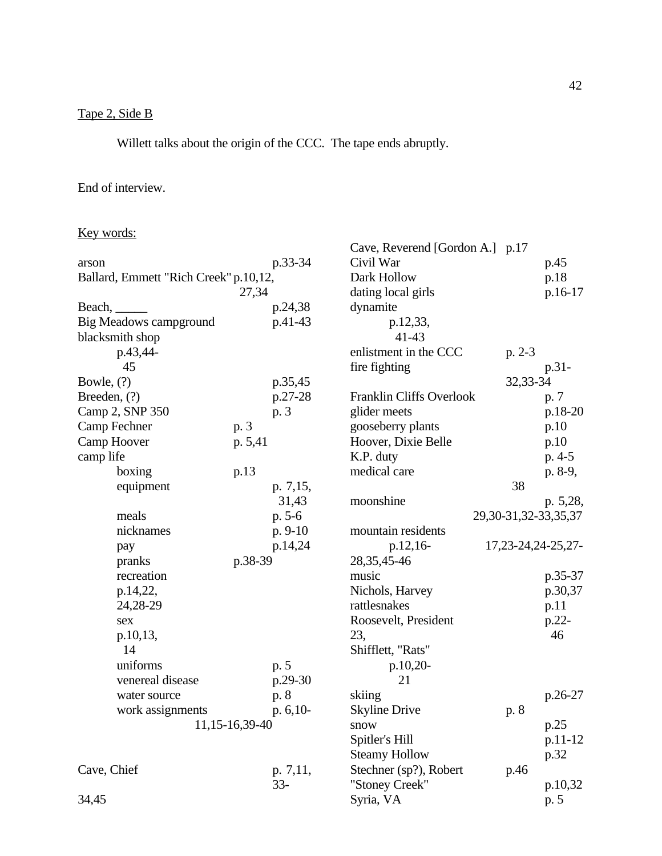# Tape 2, Side B

Willett talks about the origin of the CCC. The tape ends abruptly.

# End of interview.

## Key words:

|                                       |         |           | Cave, Reverend [Gordon A.] p.17 |                              |           |
|---------------------------------------|---------|-----------|---------------------------------|------------------------------|-----------|
| arson                                 |         | p.33-34   | Civil War                       |                              | p.45      |
| Ballard, Emmett "Rich Creek" p.10,12, |         |           | Dark Hollow                     |                              | p.18      |
|                                       | 27,34   |           | dating local girls              |                              | p.16-17   |
| Beach,                                |         | p.24,38   | dynamite                        |                              |           |
| <b>Big Meadows campground</b>         |         | p.41-43   | p.12,33,                        |                              |           |
| blacksmith shop                       |         |           | $41 - 43$                       |                              |           |
| p.43,44-                              |         |           | enlistment in the CCC           | $p. 2-3$                     |           |
| 45                                    |         |           | fire fighting                   |                              | p.31-     |
| Bowle, (?)                            |         | p.35,45   |                                 | 32,33-34                     |           |
| Breeden, $(?)$                        |         | p.27-28   | Franklin Cliffs Overlook        |                              | p. 7      |
| Camp 2, SNP 350                       |         | p. 3      | glider meets                    |                              | p.18-20   |
| Camp Fechner                          | p. 3    |           | gooseberry plants               |                              | p.10      |
| Camp Hoover                           | p. 5,41 |           | Hoover, Dixie Belle             |                              | p.10      |
| camp life                             |         |           | K.P. duty                       |                              | $p. 4-5$  |
| boxing                                | p.13    |           | medical care                    |                              | p. 8-9,   |
| equipment                             |         | p. 7,15,  |                                 | 38                           |           |
|                                       |         | 31,43     | moonshine                       |                              | p. 5,28,  |
| meals                                 |         | $p. 5-6$  |                                 | 29, 30 - 31, 32 - 33, 35, 37 |           |
| nicknames                             |         | $p. 9-10$ | mountain residents              |                              |           |
| pay                                   |         | p.14,24   | p.12,16-                        | 17, 23 - 24, 24 - 25, 27 -   |           |
| pranks                                | p.38-39 |           | 28, 35, 45-46                   |                              |           |
| recreation                            |         |           | music                           |                              | p.35-37   |
| p.14,22,                              |         |           | Nichols, Harvey                 |                              | p.30,37   |
| 24,28-29                              |         |           | rattlesnakes                    |                              | p.11      |
| sex                                   |         |           | Roosevelt, President            |                              | p.22-     |
| p.10,13,                              |         |           | 23,                             |                              | 46        |
| 14                                    |         |           | Shifflett, "Rats"               |                              |           |
| uniforms                              |         | p. 5      | $p.10,20-$                      |                              |           |
| venereal disease                      |         | p.29-30   | 21                              |                              |           |
| water source                          |         | p. 8      | skiing                          |                              | $p.26-27$ |
| work assignments                      |         | p. 6,10-  | <b>Skyline Drive</b>            | p. 8                         |           |
| 11, 15 - 16, 39 - 40                  |         |           | snow                            |                              | p.25      |
|                                       |         |           | Spitler's Hill                  |                              | p.11-12   |
|                                       |         |           | <b>Steamy Hollow</b>            |                              | p.32      |
| Cave, Chief                           |         | p. 7,11,  | Stechner (sp?), Robert          | p.46                         |           |
|                                       |         | $33 -$    | "Stoney Creek"                  |                              | p.10,32   |
| 34,45                                 |         |           | Syria, VA                       |                              | p. 5      |